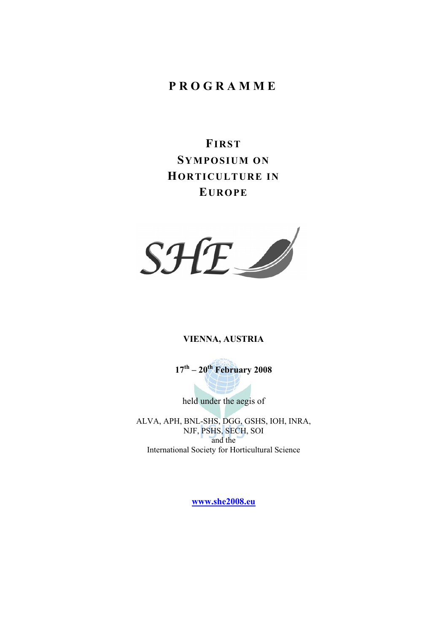# **PROGRAMME**

# **FIRST SYMPOSIUM ON HORTICULTURE IN EUROPE**



#### **VIENNA, AUSTRIA**

**17th – 20th February 2008** 

j held under the aegis of

ALVA, APH, BNL-SHS, DGG, GSHS, IOH, INRA, NJF, PSHS, SECH, SOI and the International Society for Horticultural Science

**www.she2008.eu**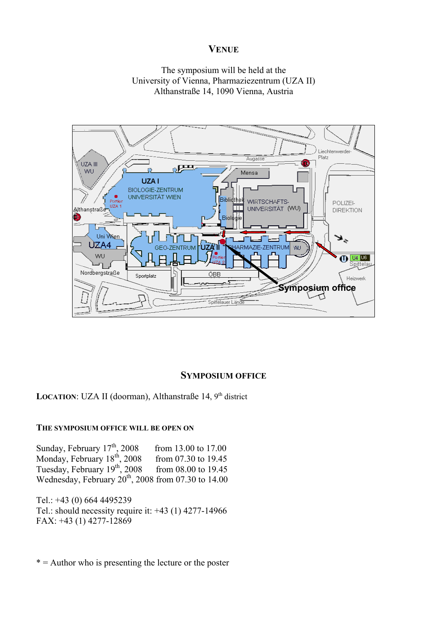# **VENUE**





# **SYMPOSIUM OFFICE**

LOCATION: UZA II (doorman), Althanstraße 14, 9<sup>th</sup> district

#### **THE SYMPOSIUM OFFICE WILL BE OPEN ON**

Sunday, February  $17<sup>th</sup>$ , 2008 from 13.00 to 17.00 Monday, February  $18^{th}$ , 2008 from 07.30 to 19.45 Tuesday, February  $19<sup>th</sup>$ , 2008 from 08.00 to 19.45 Wednesday, February  $20^{th}$ , 2008 from 07.30 to 14.00

Tel.: +43 (0) 664 4495239 Tel.: should necessity require it:  $+43$  (1) 4277-14966 FAX: +43 (1) 4277-12869

 $* =$  Author who is presenting the lecture or the poster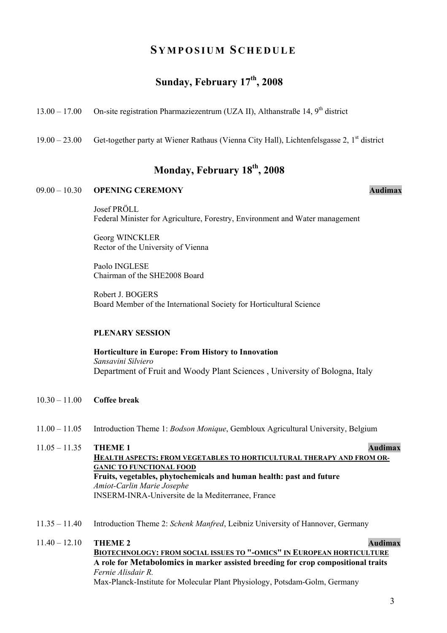# **S YMPOSIUM S CHEDULE**

# **Sunday, February 17th, 2008**

- 13.00 17.00 On-site registration Pharmaziezentrum (UZA II), Althanstraße 14, 9<sup>th</sup> district
- $19.00 23.00$  Get-together party at Wiener Rathaus (Vienna City Hall), Lichtenfelsgasse 2, 1<sup>st</sup> district

# **Monday, February 18th, 2008**

#### 09.00 – 10.30 **OPENING CEREMONY Audimax**

Josef PRÖLL Federal Minister for Agriculture, Forestry, Environment and Water management

Georg WINCKLER Rector of the University of Vienna

Paolo INGLESE Chairman of the SHE2008 Board

Robert J. BOGERS Board Member of the International Society for Horticultural Science

#### **PLENARY SESSION**

**Horticulture in Europe: From History to Innovation**  *Sansavini Silviero*  Department of Fruit and Woody Plant Sciences , University of Bologna, Italy

#### 10.30 – 11.00 **Coffee break**

- 11.00 11.05 Introduction Theme 1: *Bodson Monique*, Gembloux Agricultural University, Belgium
- 11.05 11.35 **THEME 1** Audimax **HEALTH ASPECTS: FROM VEGETABLES TO HORTICULTURAL THERAPY AND FROM OR-GANIC TO FUNCTIONAL FOOD Fruits, vegetables, phytochemicals and human health: past and future**  *Amiot-Carlin Marie Josephe*  INSERM-INRA-Universite de la Mediterranee, France
- 11.35 11.40 Introduction Theme 2: *Schenk Manfred*, Leibniz University of Hannover, Germany
- 11.40 12.10 **THEME 2 Audimax BIOTECHNOLOGY: FROM SOCIAL ISSUES TO "-OMICS" IN EUROPEAN HORTICULTURE A role for Metabolomics in marker assisted breeding for crop compositional traits**  *Fernie Alisdair R.*  Max-Planck-Institute for Molecular Plant Physiology, Potsdam-Golm, Germany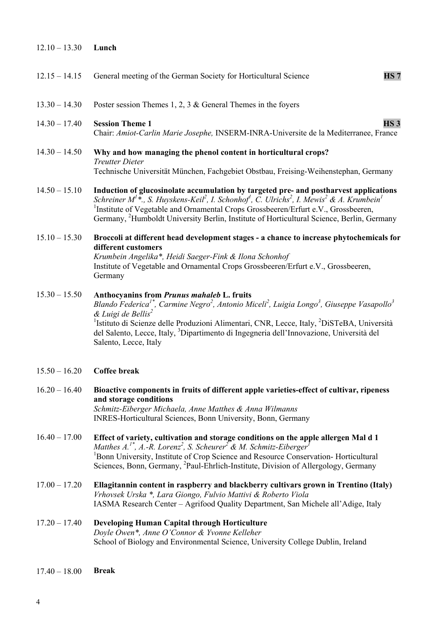#### 12.10 – 13.30 **Lunch**

12.15 – 14.15 General meeting of the German Society for Horticultural Science **HS 7** 

- 13.30 14.30 Poster session Themes 1, 2, 3 & General Themes in the foyers
- 14.30 17.40 **Session Theme 1 HS 3** Chair: *Amiot-Carlin Marie Josephe,* INSERM-INRA-Universite de la Mediterranee, France
- 14.30 14.50 **Why and how managing the phenol content in horticultural crops?**  *Treutter Dieter*  Technische Universität München, Fachgebiet Obstbau, Freising-Weihenstephan, Germany
- 14.50 15.10 **Induction of glucosinolate accumulation by targeted pre- and postharvest applications**  Schreiner M<sup>1\*</sup>, S. Huyskens-Keil<sup>2</sup>, I. Schonhof<sup>1</sup>, C. Ulrichs<sup>2</sup>, I. Mewis<sup>2</sup> & A. Krumbein<sup>1</sup> <sup>1</sup>Institute of Vegetable and Ornamental Crops Grossbeeren/Erfurt e.V., Grossbeeren, Germany, <sup>2</sup>Humboldt University Berlin, Institute of Horticultural Science, Berlin, Germany

15.10 – 15.30 **Broccoli at different head development stages - a chance to increase phytochemicals for different customers**  *Krumbein Angelika\*, Heidi Saeger-Fink & Ilona Schonhof*  Institute of Vegetable and Ornamental Crops Grossbeeren/Erfurt e.V., Grossbeeren, Germany

# 15.30 – 15.50 **Anthocyanins from** *Prunus mahaleb* **L. fruits**

Blando Federica<sup>l\*</sup>, Carmine Negro<sup>2</sup>, Antonio Miceli<sup>2</sup>, Luigia Longo<sup>3</sup>, Giuseppe Vasapollo<sup>3</sup> *& Luigi de Bellis2* <sup>1</sup>Istituto di Scienze delle Produzioni Alimentari, CNR, Lecce, Italy, <sup>2</sup>DiSTeBA, Università del Salento, Lecce, Italy, <sup>3</sup>Dipartimento di Ingegneria dell'Innovazione, Università del Salento, Lecce, Italy

- 15.50 16.20 **Coffee break**
- 16.20 16.40 **Bioactive components in fruits of different apple varieties-effect of cultivar, ripeness and storage conditions**  *Schmitz-Eiberger Michaela, Anne Matthes & Anna Wilmanns*  INRES-Horticultural Sciences, Bonn University, Bonn, Germany
- 16.40 17.00 **Effect of variety, cultivation and storage conditions on the apple allergen Mal d 1**  *Matthes A.<sup>1\*</sup>, A.-R. Lorenz<sup>2</sup>, S. Scheurer<sup>2</sup> & M. Schmitz-Eiberger<sup>1</sup>* <sup>1</sup>Bonn University, Institute of Crop Science and Resource Conservation-Horticultural Sciences, Bonn, Germany, <sup>2</sup>Paul-Ehrlich-Institute, Division of Allergology, Germany
- 17.00 17.20 **Ellagitannin content in raspberry and blackberry cultivars grown in Trentino (Italy)**  *Vrhovsek Urska \*, Lara Giongo, Fulvio Mattivi & Roberto Viola*  IASMA Research Center – Agrifood Quality Department, San Michele all'Adige, Italy
- 17.20 17.40 **Developing Human Capital through Horticulture**  *Doyle Owen\*, Anne O'Connor & Yvonne Kelleher*  School of Biology and Environmental Science, University College Dublin, Ireland
- 17.40 18.00 **Break**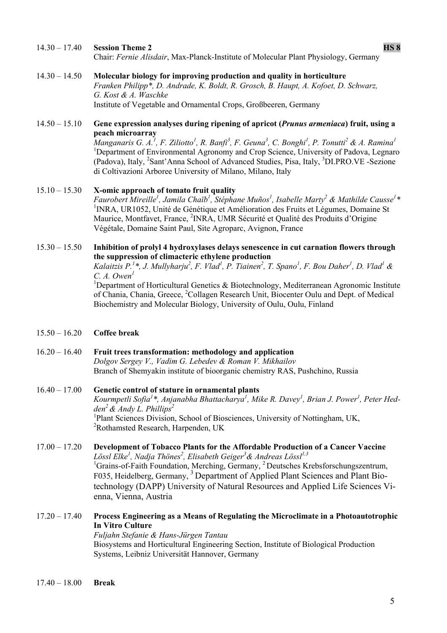#### 14.30 – 17.40 **Session Theme 2 HS 8**

Chair: *Fernie Alisdair*, Max-Planck-Institute of Molecular Plant Physiology, Germany

# 14.30 – 14.50 **Molecular biology for improving production and quality in horticulture**  *Franken Philipp\*, D. Andrade, K. Boldt, R. Grosch, B. Haupt, A. Kofoet, D. Schwarz, G. Kost & A. Waschke*

Institute of Vegetable and Ornamental Crops, Großbeeren, Germany

# 14.50 – 15.10 **Gene expression analyses during ripening of apricot (***Prunus armeniaca***) fruit, using a peach microarray**

*Manganaris G. A.<sup>1</sup> , F. Ziliotto<sup>1</sup> , R. Banfi<sup>3</sup> , F. Geuna<sup>3</sup> , C. Bonghi1 , P. Tonutti<sup>2</sup> & A. Ramina1* <sup>1</sup>Department of Environmental Agronomy and Crop Science, University of Padova, Legnaro (Padova), Italy, <sup>2</sup>Sant'Anna School of Advanced Studies, Pisa, Italy, <sup>3</sup>DI.PRO.VE -Sezione di Coltivazioni Arboree University of Milano, Milano, Italy

# 15.10 – 15.30 **X-omic approach of tomato fruit quality**  *Faurobert Mireille<sup>1</sup>, Jamila Chaïb<sup>1</sup>, Stéphane Muños<sup>1</sup>, Isabelle Marty<sup>2</sup> & Mathilde Causse<sup>1</sup>\** <sup>1</sup>INRA, UR1052, Unité de Génétique et Amélioration des Fruits et Légumes, Domaine St Maurice, Montfavet, France, <sup>2</sup>INRA, UMR Sécurité et Qualité des Produits d'Origine Végétale, Domaine Saint Paul, Site Agroparc, Avignon, France

# 15.30 – 15.50 **Inhibition of prolyl 4 hydroxylases delays senescence in cut carnation flowers through the suppression of climacteric ethylene production**

*Kalaitzis P.<sup>1</sup>\*, J. Mullyharju<sup>2</sup>, F. Vlad<sup>1</sup>, P. Tiainen<sup>2</sup>, T. Spano<sup>1</sup>, F. Bou Daher<sup>1</sup>, D. Vlad<sup>1</sup> & C. A. Owen<sup>1</sup>*

<sup>1</sup>Department of Horticultural Genetics & Biotechnology, Mediterranean Agronomic Institute of Chania, Chania, Greece, <sup>2</sup>Collagen Research Unit, Biocenter Oulu and Dept. of Medical Biochemistry and Molecular Biology, University of Oulu, Oulu, Finland

#### 15.50 – 16.20 **Coffee break**

#### 16.20 – 16.40 **Fruit trees transformation: methodology and application**

*Dolgov Sergey V., Vadim G. Lebedev & Roman V. Mikhailov*  Branch of Shemyakin institute of bioorganic chemistry RAS, Pushchino, Russia

# 16.40 – 17.00 **Genetic control of stature in ornamental plants**

*Kourmpetli Sofia<sup>1</sup> \*, Anjanabha Bhattacharya<sup>1</sup> , Mike R. Davey1 , Brian J. Power1 , Peter Hedden2 & Andy L. Phillips2* <sup>1</sup>Plant Sciences Division, School of Biosciences, University of Nottingham, UK, <sup>2</sup>Rothamsted Research, Harpenden, UK

# 17.00 – 17.20 **Development of Tobacco Plants for the Affordable Production of a Cancer Vaccine**  *Lössl Elke1 , Nadja Thönes2 , Elisabeth Geiger<sup>3</sup> & Andreas Lössl1,3*  <sup>1</sup>Grains-of-Faith Foundation, Merching, Germany, <sup>2</sup> Deutsches Krebsforschungszentrum, F035, Heidelberg, Germany, <sup>3</sup> Department of Applied Plant Sciences and Plant Biotechnology (DAPP) University of Natural Resources and Applied Life Sciences Vienna, Vienna, Austria

# 17.20 – 17.40 **Process Engineering as a Means of Regulating the Microclimate in a Photoautotrophic In Vitro Culture**  *Fuljahn Stefanie & Hans-Jürgen Tantau*  Biosystems and Horticultural Engineering Section, Institute of Biological Production

Systems, Leibniz Universität Hannover, Germany

17.40 – 18.00 **Break**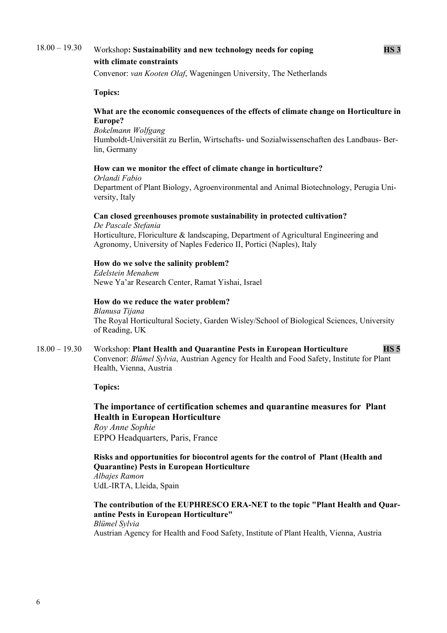# 18.00 – 19.30 Workshop: **Sustainability and new technology needs for coping HS 3 with climate constraints**

Convenor: *van Kooten Olaf*, Wageningen University, The Netherlands

**Topics:** 

# **What are the economic consequences of the effects of climate change on Horticulture in Europe?**

*Bokelmann Wolfgang*  Humboldt-Universität zu Berlin, Wirtschafts- und Sozialwissenschaften des Landbaus- Berlin, Germany

# **How can we monitor the effect of climate change in horticulture?**

*Orlandi Fabio*  Department of Plant Biology, Agroenvironmental and Animal Biotechnology, Perugia University, Italy

# **Can closed greenhouses promote sustainability in protected cultivation?**

*De Pascale Stefania*  Horticulture, Floriculture & landscaping, Department of Agricultural Engineering and Agronomy, University of Naples Federico II, Portici (Naples), Italy

# **How do we solve the salinity problem?**

*Edelstein Menahem*  Newe Ya'ar Research Center, Ramat Yishai, Israel

#### **How do we reduce the water problem?**

*Blanusa Tijana*  The Royal Horticultural Society, Garden Wisley/School of Biological Sciences, University of Reading, UK

18.00 – 19.30 Workshop: **Plant Health and Quarantine Pests in European Horticulture HS 5** Convenor: *Blümel Sylvia*, Austrian Agency for Health and Food Safety, Institute for Plant Health, Vienna, Austria

**Topics:** 

**The importance of certification schemes and quarantine measures for Plant Health in European Horticulture**  *Roy Anne Sophie*  EPPO Headquarters, Paris, France

**Risks and opportunities for biocontrol agents for the control of Plant (Health and Quarantine) Pests in European Horticulture**  *Albajes Ramon* 

UdL-IRTA, Lleida, Spain

#### **The contribution of the EUPHRESCO ERA-NET to the topic "Plant Health and Quarantine Pests in European Horticulture"**  *Blümel Sylvia*

Austrian Agency for Health and Food Safety, Institute of Plant Health, Vienna, Austria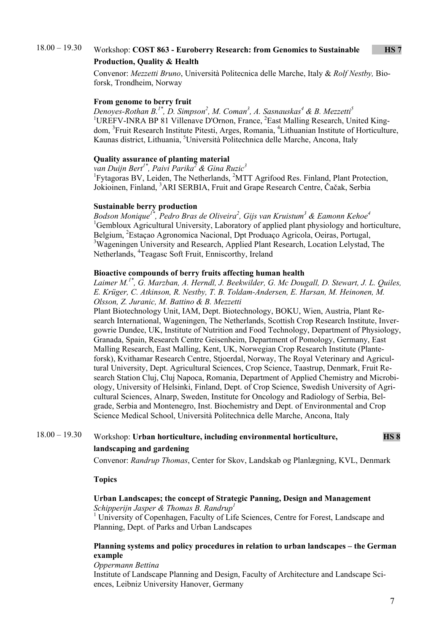# 18.00 – 19.30 Workshop: **COST 863 - Euroberry Research: from Genomics to Sustainable HS 7 Production, Quality & Health**

Convenor: *Mezzetti Bruno*, Università Politecnica delle Marche, Italy & *Rolf Nestby,* Bioforsk, Trondheim, Norway

#### **From genome to berry fruit**

*Denoyes-Rothan B.1\*, D. Simpson2 , M. Coman<sup>3</sup> , A. Sasnauskas4 & B. Mezzetti5* <sup>1</sup>UREFV-INRA BP 81 Villenave D'Ornon, France, <sup>2</sup>East Malling Research, United Kingdom, <sup>3</sup> Fruit Research Institute Pitesti, Arges, Romania, <sup>4</sup> Lithuanian Institute of Horticulture, Kaunas district, Lithuania, <sup>5</sup>Università Politechnica delle Marche, Ancona, Italy

#### **Quality assurance of planting material**

*van Duijn Bert1\*, Paivi Parika2 & Gina Ruzic3* <sup>1</sup>Fytagoras BV, Leiden, The Netherlands, <sup>2</sup>MTT Agrifood Res. Finland, Plant Protection, Jokioinen, Finland, <sup>3</sup>ARI SERBIA, Fruit and Grape Research Centre, Čačak, Serbia

#### **Sustainable berry production**

*Bodson Monique1\*, Pedro Bras de Oliveira2 , Gijs van Kruistum3 & Eamonn Kehoe4* <sup>1</sup>Gembloux Agricultural University, Laboratory of applied plant physiology and horticulture, Belgium, <sup>2</sup>Estaçao Agronomica Nacional, Dpt Produaço Agricola, Oeiras, Portugal, <sup>3</sup>Wageningen University and Research, Applied Plant Research, Location Lelystad, The Netherlands, <sup>4</sup>Teagasc Soft Fruit, Enniscorthy, Ireland

#### **Bioactive compounds of berry fruits affecting human health**

*Laimer M.1\*, G. Marzban, A. Herndl, J. Beekwilder, G. Mc Dougall, D. Stewart, J. L. Quiles, E. Krüger, C. Atkinson, R. Nestby, T. B. Toldam-Andersen, E. Harsan, M. Heinonen, M. Olsson, Z. Juranic, M. Battino & B. Mezzetti* 

Plant Biotechnology Unit, IAM, Dept. Biotechnology, BOKU, Wien, Austria, Plant Research International, Wageningen, The Netherlands, Scottish Crop Research Institute, Invergowrie Dundee, UK, Institute of Nutrition and Food Technology, Department of Physiology, Granada, Spain, Research Centre Geisenheim, Department of Pomology, Germany, East Malling Research, East Malling, Kent, UK, Norwegian Crop Research Institute (Planteforsk), Kvithamar Research Centre, Stjoerdal, Norway, The Royal Veterinary and Agricultural University, Dept. Agricultural Sciences, Crop Science, Taastrup, Denmark, Fruit Research Station Cluj, Cluj Napoca, Romania, Department of Applied Chemistry and Microbiology, University of Helsinki, Finland, Dept. of Crop Science, Swedish University of Agricultural Sciences, Alnarp, Sweden, Institute for Oncology and Radiology of Serbia, Belgrade, Serbia and Montenegro, Inst. Biochemistry and Dept. of Environmental and Crop Science Medical School, Università Politechnica delle Marche, Ancona, Italy

# 18.00 – 19.30 Workshop: **Urban horticulture, including environmental horticulture, HS 8 landscaping and gardening**

Convenor: *Randrup Thomas*, Center for Skov, Landskab og Planlægning, KVL, Denmark

**Topics** 

# **Urban Landscapes; the concept of Strategic Panning, Design and Management**

*Schipperijn Jasper & Thomas B. Randrup<sup>1</sup>*

<sup>1</sup> University of Copenhagen, Faculty of Life Sciences, Centre for Forest, Landscape and Planning, Dept. of Parks and Urban Landscapes

#### **Planning systems and policy procedures in relation to urban landscapes – the German example**

*Oppermann Bettina* 

Institute of Landscape Planning and Design, Faculty of Architecture and Landscape Sciences, Leibniz University Hanover, Germany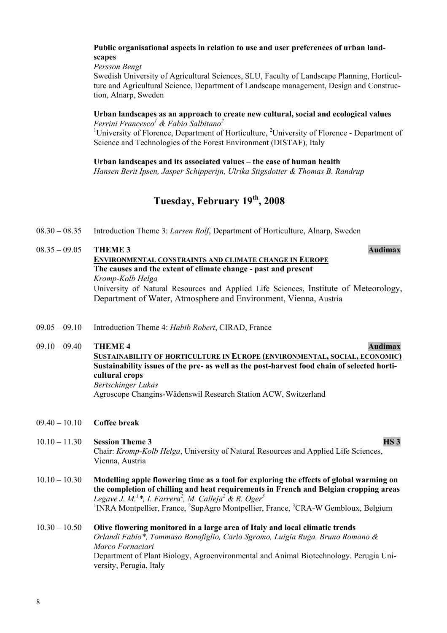# **Public organisational aspects in relation to use and user preferences of urban landscapes**

*Persson Bengt* 

Swedish University of Agricultural Sciences, SLU, Faculty of Landscape Planning, Horticulture and Agricultural Science, Department of Landscape management, Design and Construction, Alnarp, Sweden

#### **Urban landscapes as an approach to create new cultural, social and ecological values**  *Ferrini Francesco<sup>1</sup> & Fabio Salbitano2*

<sup>1</sup>University of Florence, Department of Horticulture, <sup>2</sup>University of Florence - Department of Science and Technologies of the Forest Environment (DISTAF), Italy

# **Urban landscapes and its associated values – the case of human health**

*Hansen Berit Ipsen, Jasper Schipperijn, Ulrika Stigsdotter & Thomas B. Randrup* 

# **Tuesday, February 19th, 2008**

- 08.30 08.35 Introduction Theme 3: *Larsen Rolf*, Department of Horticulture, Alnarp, Sweden
- 08.35 09.05 **THEME 3 Audimax ENVIRONMENTAL CONSTRAINTS AND CLIMATE CHANGE IN EUROPE The causes and the extent of climate change - past and present**  *Kromp-Kolb Helga*  University of Natural Resources and Applied Life Sciences, Institute of Meteorology, Department of Water, Atmosphere and Environment, Vienna, Austria
- 09.05 09.10 Introduction Theme 4: *Habib Robert*, CIRAD, France

09.10 – 09.40 **THEME 4 Audimax Audimax Audimax Audimax SUSTAINABILITY OF HORTICULTURE IN EUROPE (ENVIRONMENTAL, SOCIAL, ECONOMIC) Sustainability issues of the pre- as well as the post-harvest food chain of selected horticultural crops**  *Bertschinger Lukas*  Agroscope Changins-Wädenswil Research Station ACW, Switzerland

09.40 – 10.10 **Coffee break** 

# 10.10 – 11.30 **Session Theme 3 HS 3** Chair: *Kromp-Kolb Helga*, University of Natural Resources and Applied Life Sciences, Vienna, Austria

10.10 – 10.30 **Modelling apple flowering time as a tool for exploring the effects of global warming on the completion of chilling and heat requirements in French and Belgian cropping areas**  *Legave J. M.<sup>1</sup> \*, I. Farrera<sup>2</sup> , M. Calleja2 & R. Oger3* <sup>1</sup> INRA Montpellier, France, <sup>2</sup>SupAgro Montpellier, France, <sup>3</sup>CRA-W Gembloux, Belgium

#### 10.30 – 10.50 **Olive flowering monitored in a large area of Italy and local climatic trends**  *Orlandi Fabio\*, Tommaso Bonofiglio, Carlo Sgromo, Luigia Ruga, Bruno Romano & Marco Fornaciari*  Department of Plant Biology, Agroenvironmental and Animal Biotechnology. Perugia University, Perugia, Italy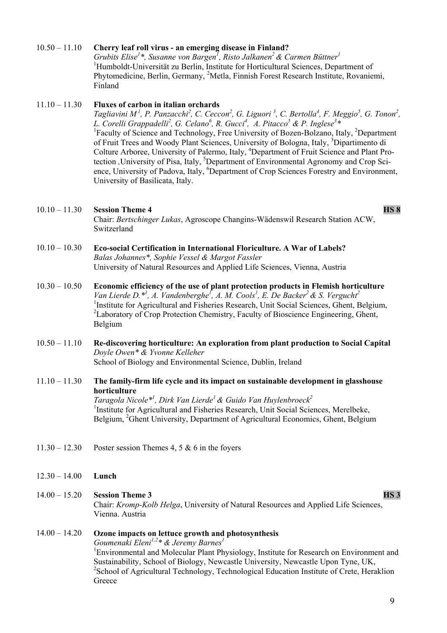#### 10.50 – 11.10 **Cherry leaf roll virus - an emerging disease in Finland?**

*Grubits Elise<sup>1</sup>\*, Susanne von Bargen<sup>1</sup>, Risto Jalkanen<sup>2</sup> & Carmen Büttner<sup>1</sup>* <sup>1</sup>Humboldt-Universität zu Berlin, Institute for Horticultural Sciences, Department of Phytomedicine, Berlin, Germany, <sup>2</sup>Metla, Finnish Forest Research Institute, Rovaniemi, Finland

# 11.10 – 11.30 **Fluxes of carbon in italian orchards**

*Tagliavini M<sup>1</sup>, P. Panzacchi<sup>2</sup>, C. Ceccon<sup>2</sup>, G. Liguori<sup>3</sup>, C. Bertolla<sup>4</sup>, F. Meggio<sup>5</sup>, G. Tonon<sup>2</sup>,* L. Corelli Grappadelli<sup>2</sup>, G. Celano<sup>6</sup>, R. Gucci<sup>4</sup>, A. Pitacco<sup>5</sup> & P. Inglese<sup>3</sup>\* <sup>1</sup>Faculty of Science and Technology, Free University of Bozen-Bolzano, Italy, <sup>2</sup>Department of Fruit Trees and Woody Plant Sciences, University of Bologna, Italy, <sup>3</sup>Dipartimento di Colture Arboree, University of Palermo, Italy, <sup>4</sup>Department of Fruit Science and Plant Protection , University of Pisa, Italy, <sup>5</sup>Department of Environmental Agronomy and Crop Science, University of Padova, Italy, <sup>6</sup>Department of Crop Sciences Forestry and Environment, University of Basilicata, Italy.

# 10.10 – 11.30 **Session Theme 4 HS 8**

Chair: *Bertschinger Lukas*, Agroscope Changins-Wädenswil Research Station ACW, Switzerland

#### 10.10 – 10.30 **Eco-social Certification in International Floriculture. A War of Labels?**  *Balas Johannes\*, Sophie Vessel & Margot Fassler*  University of Natural Resources and Applied Life Sciences, Vienna, Austria

# 10.30 – 10.50 **Economic efficiency of the use of plant protection products in Flemish horticulture**  Van Lierde D.<sup>\**l*</sup>, A. Vandenberghe<sup>f</sup>, A. M. Cools<sup>1</sup>, E. De Backer<sup>2</sup> & S. Vergucht<sup>2</sup> <sup>1</sup>Institute for Agricultural and Fisheries Research, Unit Social Sciences, Ghent, Belgium, <sup>2</sup> Laboratory of Crop Protection Chemistry, Faculty of Bioscience Engineering, Ghent, Belgium

- 10.50 11.10 **Re-discovering horticulture: An exploration from plant production to Social Capital**  *Doyle Owen\* & Yvonne Kelleher*  School of Biology and Environmental Science, Dublin, Ireland
- 11.10 11.30 **The family-firm life cycle and its impact on sustainable development in glasshouse horticulture**  *Taragola Nicole\*<sup>1</sup> , Dirk Van Lierde1 & Guido Van Huylenbroeck2* <sup>1</sup>Institute for Agricultural and Fisheries Research, Unit Social Sciences, Merelbeke, Belgium, <sup>2</sup>Ghent University, Department of Agricultural Economics, Ghent, Belgium
- $11.30 12.30$  Poster session Themes 4, 5 & 6 in the foyers
- 12.30 14.00 **Lunch**

#### 14.00 – 15.20 **Session Theme 3 HS 3**

Chair: *Kromp-Kolb Helga*, University of Natural Resources and Applied Life Sciences, Vienna. Austria

#### 14.00 – 14.20 **Ozone impacts on lettuce growth and photosynthesis**

*Goumenaki Eleni1,2\* & Jeremy Barnes1* <sup>1</sup>Environmental and Molecular Plant Physiology, Institute for Research on Environment and Sustainability, School of Biology, Newcastle University, Newcastle Upon Tyne, UK, <sup>2</sup> School of Agricultural Technology, Technological Education Institute of Crete, Heraklion **Greece**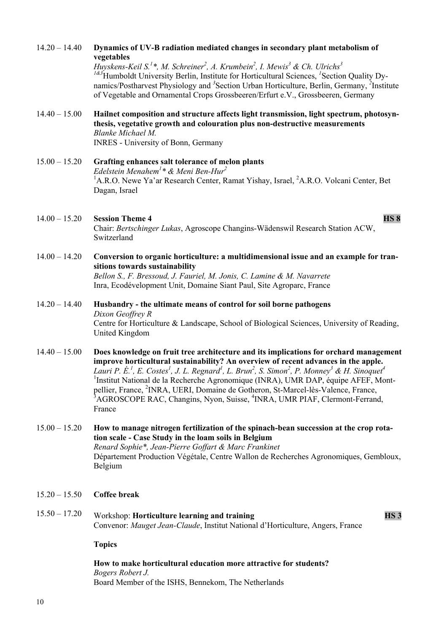| $14.20 - 14.40$ | Dynamics of UV-B radiation mediated changes in secondary plant metabolism of<br>vegetables<br>Huyskens-Keil S. <sup>1*</sup> , M. Schreiner <sup>2</sup> , A. Krumbein <sup>2</sup> , I. Mewis <sup>3</sup> & Ch. Ulrichs <sup>3</sup><br>$1^{k3}$ Humboldt University Berlin, Institute for Horticultural Sciences, 'Section Quality Dy-<br>namics/Postharvest Physiology and <sup>3</sup> Section Urban Horticulture, Berlin, Germany, <sup>2</sup> Institute                                                                                                                                                                                                        |
|-----------------|------------------------------------------------------------------------------------------------------------------------------------------------------------------------------------------------------------------------------------------------------------------------------------------------------------------------------------------------------------------------------------------------------------------------------------------------------------------------------------------------------------------------------------------------------------------------------------------------------------------------------------------------------------------------|
|                 | of Vegetable and Ornamental Crops Grossbeeren/Erfurt e.V., Grossbeeren, Germany                                                                                                                                                                                                                                                                                                                                                                                                                                                                                                                                                                                        |
| $14.40 - 15.00$ | Hailnet composition and structure affects light transmission, light spectrum, photosyn-<br>thesis, vegetative growth and colouration plus non-destructive measurements<br>Blanke Michael M.                                                                                                                                                                                                                                                                                                                                                                                                                                                                            |
|                 | <b>INRES</b> - University of Bonn, Germany                                                                                                                                                                                                                                                                                                                                                                                                                                                                                                                                                                                                                             |
| $15.00 - 15.20$ | Grafting enhances salt tolerance of melon plants<br>Edelstein Menahem <sup>1</sup> * & Meni Ben-Hur <sup>2</sup><br><sup>1</sup> A.R.O. Newe Ya'ar Research Center, Ramat Yishay, Israel, <sup>2</sup> A.R.O. Volcani Center, Bet<br>Dagan, Israel                                                                                                                                                                                                                                                                                                                                                                                                                     |
| $14.00 - 15.20$ | <b>HS 8</b><br><b>Session Theme 4</b><br>Chair: Bertschinger Lukas, Agroscope Changins-Wädenswil Research Station ACW,<br>Switzerland                                                                                                                                                                                                                                                                                                                                                                                                                                                                                                                                  |
| $14.00 - 14.20$ | Conversion to organic horticulture: a multidimensional issue and an example for tran-<br>sitions towards sustainability<br>Bellon S., F. Bressoud, J. Fauriel, M. Jonis, C. Lamine & M. Navarrete<br>Inra, Ecodévelopment Unit, Domaine Siant Paul, Site Agroparc, France                                                                                                                                                                                                                                                                                                                                                                                              |
| $14.20 - 14.40$ | Husbandry - the ultimate means of control for soil borne pathogens<br>Dixon Geoffrey R<br>Centre for Horticulture & Landscape, School of Biological Sciences, University of Reading,<br>United Kingdom                                                                                                                                                                                                                                                                                                                                                                                                                                                                 |
| $14.40 - 15.00$ | Does knowledge on fruit tree architecture and its implications for orchard management<br>improve horticultural sustainability? An overview of recent advances in the apple.<br>Lauri P. É. <sup>1</sup> , E. Costes <sup>1</sup> , J. L. Regnard <sup>1</sup> , L. Brun <sup>2</sup> , S. Simon <sup>2</sup> , P. Monney <sup>3</sup> & H. Sinoquet <sup>4</sup><br><sup>1</sup> Institut National de la Recherche Agronomique (INRA), UMR DAP, équipe AFEF, Mont-<br>pellier, France, <sup>2</sup> INRA, UERI, Domaine de Gotheron, St-Marcel-lès-Valence, France,<br>AGROSCOPE RAC, Changins, Nyon, Suisse, <sup>4</sup> INRA, UMR PIAF, Clermont-Ferrand,<br>France |
| $15.00 - 15.20$ | How to manage nitrogen fertilization of the spinach-bean succession at the crop rota-<br>tion scale - Case Study in the loam soils in Belgium<br>Renard Sophie*, Jean-Pierre Goffart & Marc Frankinet<br>Département Production Végétale, Centre Wallon de Recherches Agronomiques, Gembloux,<br>Belgium                                                                                                                                                                                                                                                                                                                                                               |
| $15.20 - 15.50$ | Coffee break                                                                                                                                                                                                                                                                                                                                                                                                                                                                                                                                                                                                                                                           |
| $15.50 - 17.20$ | HS <sub>3</sub><br>Workshop: Horticulture learning and training<br>Convenor: Mauget Jean-Claude, Institut National d'Horticulture, Angers, France                                                                                                                                                                                                                                                                                                                                                                                                                                                                                                                      |
|                 | <b>Topics</b>                                                                                                                                                                                                                                                                                                                                                                                                                                                                                                                                                                                                                                                          |
|                 | How to make horticultural education more attractive for students?<br>Bogers Robert J.<br>Board Member of the ISHS, Bennekom, The Netherlands                                                                                                                                                                                                                                                                                                                                                                                                                                                                                                                           |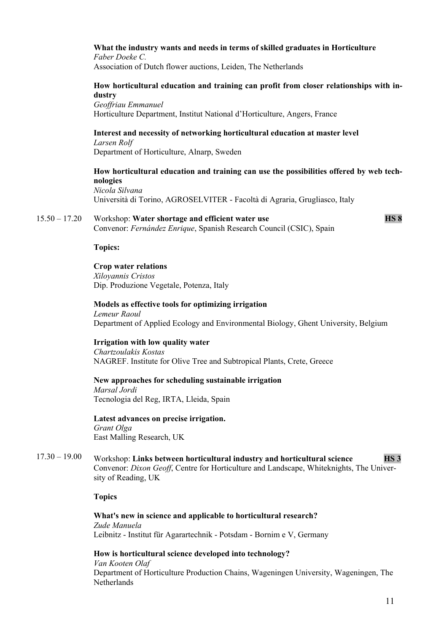# **What the industry wants and needs in terms of skilled graduates in Horticulture**

*Faber Doeke C.*  Association of Dutch flower auctions, Leiden, The Netherlands

# **How horticultural education and training can profit from closer relationships with industry**

*Geoffriau Emmanuel*  Horticulture Department, Institut National d'Horticulture, Angers, France

# **Interest and necessity of networking horticultural education at master level**

*Larsen Rolf*  Department of Horticulture, Alnarp, Sweden

# **How horticultural education and training can use the possibilities offered by web technologies**

*Nicola Silvana* Università di Torino, AGROSELVITER - Facoltà di Agraria, Grugliasco, Italy

# 15.50 – 17.20 Workshop: **Water shortage and efficient water use HS 8**

Convenor: *Fernández Enrique*, Spanish Research Council (CSIC), Spain

#### **Topics:**

# **Crop water relations**

*Xiloyannis Cristos*  Dip. Produzione Vegetale, Potenza, Italy

#### **Models as effective tools for optimizing irrigation**

*Lemeur Raoul*  Department of Applied Ecology and Environmental Biology, Ghent University, Belgium

#### **Irrigation with low quality water**

*Chartzoulakis Kostas*  NAGREF. Institute for Olive Tree and Subtropical Plants, Crete, Greece

# **New approaches for scheduling sustainable irrigation**

*Marsal Jordi*  Tecnologia del Reg, IRTA, Lleida, Spain

#### **Latest advances on precise irrigation.**  *Grant Olga*  East Malling Research, UK

# 17.30 – 19.00 Workshop: **Links between horticultural industry and horticultural science HS 3**  Convenor: *Dixon Geoff*, Centre for Horticulture and Landscape, Whiteknights, The University of Reading, UK

#### **Topics**

**What's new in science and applicable to horticultural research?**  *Zude Manuela*  Leibnitz - Institut für Agarartechnik - Potsdam - Bornim e V, Germany

# **How is horticultural science developed into technology?**

*Van Kooten Olaf*  Department of Horticulture Production Chains, Wageningen University, Wageningen, The **Netherlands**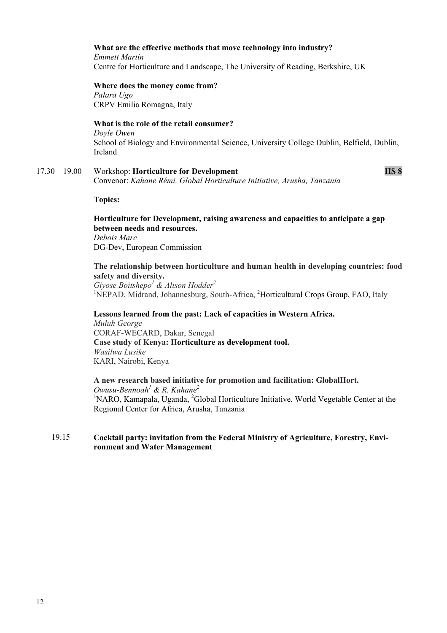#### **What are the effective methods that move technology into industry?**

*Emmett Martin*  Centre for Horticulture and Landscape, The University of Reading, Berkshire, UK

# **Where does the money come from?**

*Palara Ugo*  CRPV Emilia Romagna, Italy

# **What is the role of the retail consumer?**

*Doyle Owen*  School of Biology and Environmental Science, University College Dublin, Belfield, Dublin, Ireland

17.30 – 19.00 Workshop: **Horticulture for Development HS 8**  Convenor: *Kahane Rémi, Global Horticulture Initiative, Arusha, Tanzania*

#### **Topics:**

**Horticulture for Development, raising awareness and capacities to anticipate a gap between needs and resources.**  *Debois Marc*  DG-Dev, European Commission

#### **The relationship between horticulture and human health in developing countries: food safety and diversity.**

*Giyose Boitshepo<sup>1</sup> & Alison Hodder2* <sup>1</sup>NEPAD, Midrand, Johannesburg, South-Africa, <sup>2</sup>Horticultural Crops Group, FAO, Italy

# **Lessons learned from the past: Lack of capacities in Western Africa.**

*Muluh George*  CORAF-WECARD, Dakar, Senegal **Case study of Kenya: Horticulture as development tool.** *Wasilwa Lusike*  KARI, Nairobi, Kenya

#### **A new research based initiative for promotion and facilitation: GlobalHort.**  *Owusu-Bennoah1 & R. Kahane2* <sup>1</sup>NARO, Kamapala, Uganda, <sup>2</sup>Global Horticulture Initiative, World Vegetable Center at the Regional Center for Africa, Arusha, Tanzania

# 19.15 **Cocktail party: invitation from the Federal Ministry of Agriculture, Forestry, Environment and Water Management**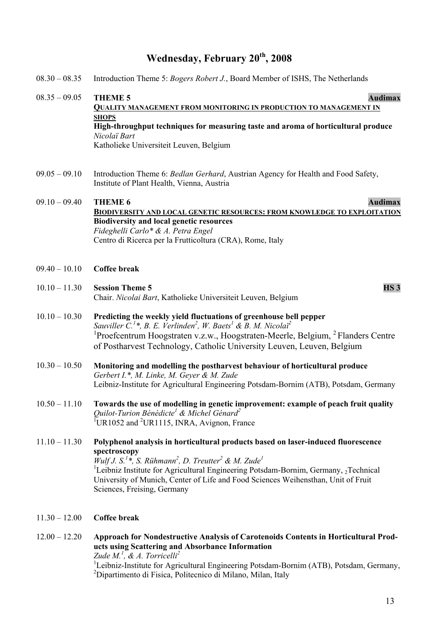# **Wednesday, February 20th, 2008**

- 08.30 08.35 Introduction Theme 5: *Bogers Robert J.*, Board Member of ISHS, The Netherlands
- 08.35 09.05 **THEME 5** Audimax **QUALITY MANAGEMENT FROM MONITORING IN PRODUCTION TO MANAGEMENT IN SHOPS High-throughput techniques for measuring taste and aroma of horticultural produce**  *Nicolaï Bart*  Katholieke Universiteit Leuven, Belgium
- 09.05 09.10 Introduction Theme 6: *Bedlan Gerhard*, Austrian Agency for Health and Food Safety, Institute of Plant Health, Vienna, Austria

09.10 – 09.40 **THEME 6** Auditor **Auditor Auditor Auditor Auditor Auditor Auditor Auditor Auditor Auditor Auditor Auditor Auditor Auditor Auditor Auditor Auditor Auditor Auditor Auditor BIODIVERSITY AND LOCAL GENETIC RESOURCES: FROM KNOWLEDGE TO EXPLOITATION Biodiversity and local genetic resources**  *Fideghelli Carlo\* & A. Petra Engel*  Centro di Ricerca per la Frutticoltura (CRA), Rome, Italy

- 09.40 10.10 **Coffee break**
- 10.10 11.30 **Session Theme 5 HS 3**  Chair. *Nicolai Bart*, Katholieke Universiteit Leuven, Belgium
- 10.10 10.30 **Predicting the weekly yield fluctuations of greenhouse bell pepper** *Sauviller C.<sup>1</sup> \*, B. E. Verlinden<sup>2</sup> , W. Baets<sup>1</sup> & B. M. Nicolaï2*  <sup>1</sup>Proefcentrum Hoogstraten v.z.w., Hoogstraten-Meerle, Belgium, <sup>2</sup> Flanders Centre of Postharvest Technology, Catholic University Leuven, Leuven, Belgium
- 10.30 10.50 **Monitoring and modelling the postharvest behaviour of horticultural produce**  *Gerbert I.\*, M. Linke, M. Geyer & M. Zude*  Leibniz-Institute for Agricultural Engineering Potsdam-Bornim (ATB), Potsdam, Germany
- 10.50 11.10 **Towards the use of modelling in genetic improvement: example of peach fruit quality** *Quilot-Turion Bénédicte1 & Michel Génard<sup>2</sup>* <sup>I</sup>UR1052 and <sup>2</sup>UR1115, INRA, Avignon, France
- 11.10 11.30 **Polyphenol analysis in horticultural products based on laser-induced fluorescence spectroscopy**   $\hat{W}$ ulf J. S.<sup>1</sup>\*, S. Rühmann<sup>2</sup>, D. Treutter<sup>2</sup> & M. Zude<sup>1</sup> <sup>1</sup>Leibniz Institute for Agricultural Engineering Potsdam-Bornim, Germany, 2Technical University of Munich, Center of Life and Food Sciences Weihensthan, Unit of Fruit Sciences, Freising, Germany
- 11.30 12.00 **Coffee break**

12.00 – 12.20 **Approach for Nondestructive Analysis of Carotenoids Contents in Horticultural Products using Scattering and Absorbance Information**  *Zude M.<sup>1</sup> , & A. Torricelli2* <sup>1</sup>Leibniz-Institute for Agricultural Engineering Potsdam-Bornim (ATB), Potsdam, Germany, 2 Dipartimento di Fisica, Politecnico di Milano, Milan, Italy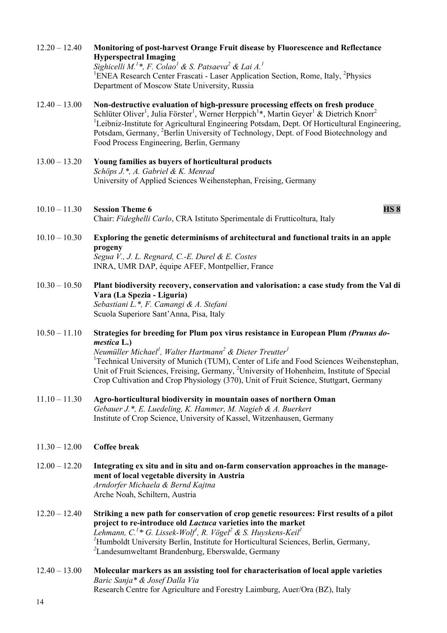| $12.20 - 12.40$ | Monitoring of post-harvest Orange Fruit disease by Fluorescence and Reflectance<br><b>Hyperspectral Imaging</b><br>Sighicelli M. <sup>1*</sup> , F. Colao <sup>1</sup> & S. Patsaeva <sup>2</sup> & Lai A. <sup>1</sup><br><sup>1</sup> ENEA Research Center Frascati - Laser Application Section, Rome, Italy, <sup>2</sup> Physics<br>Department of Moscow State University, Russia                                                                                                                     |
|-----------------|-----------------------------------------------------------------------------------------------------------------------------------------------------------------------------------------------------------------------------------------------------------------------------------------------------------------------------------------------------------------------------------------------------------------------------------------------------------------------------------------------------------|
| $12.40 - 13.00$ | Non-destructive evaluation of high-pressure processing effects on fresh produce<br>Schlüter Oliver <sup>1</sup> , Julia Förster <sup>1</sup> , Werner Herppich <sup>1*</sup> , Martin Geyer <sup>1</sup> & Dietrich Knorr <sup>2</sup><br><sup>1</sup> Leibniz-Institute for Agricultural Engineering Potsdam, Dept. Of Horticultural Engineering,<br>Potsdam, Germany, <sup>2</sup> Berlin University of Technology, Dept. of Food Biotechnology and<br>Food Process Engineering, Berlin, Germany        |
| $13.00 - 13.20$ | Young families as buyers of horticultural products<br>Schöps J.*, A. Gabriel & K. Menrad<br>University of Applied Sciences Weihenstephan, Freising, Germany                                                                                                                                                                                                                                                                                                                                               |
| $10.10 - 11.30$ | <b>HS 8</b><br><b>Session Theme 6</b><br>Chair: Fideghelli Carlo, CRA Istituto Sperimentale di Frutticoltura, Italy                                                                                                                                                                                                                                                                                                                                                                                       |
| $10.10 - 10.30$ | Exploring the genetic determinisms of architectural and functional traits in an apple<br>progeny<br>Segua V., J. L. Regnard, C.-E. Durel & E. Costes<br>INRA, UMR DAP, équipe AFEF, Montpellier, France                                                                                                                                                                                                                                                                                                   |
| $10.30 - 10.50$ | Plant biodiversity recovery, conservation and valorisation: a case study from the Val di<br>Vara (La Spezia - Liguria)<br>Sebastiani L.*, F. Camangi & A. Stefani<br>Scuola Superiore Sant'Anna, Pisa, Italy                                                                                                                                                                                                                                                                                              |
| $10.50 - 11.10$ | Strategies for breeding for Plum pox virus resistance in European Plum (Prunus do-<br>mestica L.)<br>Neumüller Michael <sup>1</sup> , Walter Hartmann <sup>2</sup> & Dieter Treutter <sup>1</sup><br><sup>1</sup> Technical University of Munich (TUM), Center of Life and Food Sciences Weihenstephan,<br>Unit of Fruit Sciences, Freising, Germany, <sup>2</sup> University of Hohenheim, Institute of Special<br>Crop Cultivation and Crop Physiology (370), Unit of Fruit Science, Stuttgart, Germany |
| $11.10 - 11.30$ | Agro-horticultural biodiversity in mountain oases of northern Oman<br>Gebauer J.*, E. Luedeling, K. Hammer, M. Nagieb & A. Buerkert<br>Institute of Crop Science, University of Kassel, Witzenhausen, Germany                                                                                                                                                                                                                                                                                             |
| $11.30 - 12.00$ | Coffee break                                                                                                                                                                                                                                                                                                                                                                                                                                                                                              |
| $12.00 - 12.20$ | Integrating ex situ and in situ and on-farm conservation approaches in the manage-<br>ment of local vegetable diversity in Austria<br>Arndorfer Michaela & Bernd Kajtna<br>Arche Noah, Schiltern, Austria                                                                                                                                                                                                                                                                                                 |
| $12.20 - 12.40$ | Striking a new path for conservation of crop genetic resources: First results of a pilot<br>project to re-introduce old <i>Lactuca</i> varieties into the market<br>Lehmann, C. <sup>1</sup> * G. Lissek-Wolf <sup>1</sup> , R. Vögel <sup>2</sup> & S. Huyskens-Keil <sup>1</sup><br><sup>1</sup> Humboldt University Berlin, Institute for Horticultural Sciences, Berlin, Germany,<br><sup>2</sup> Landesumweltamt Brandenburg, Eberswalde, Germany                                                    |
| $12.40 - 13.00$ | Molecular markers as an assisting tool for characterisation of local apple varieties<br>Baric Sanja* & Josef Dalla Via<br>Research Centre for Agriculture and Forestry Laimburg, Auer/Ora (BZ), Italy                                                                                                                                                                                                                                                                                                     |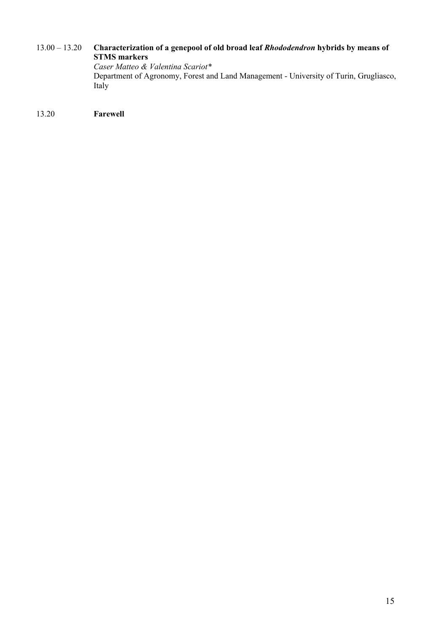# 13.00 – 13.20 **Characterization of a genepool of old broad leaf** *Rhododendron* **hybrids by means of STMS markers**

*Caser Matteo & Valentina Scariot\**  Department of Agronomy, Forest and Land Management - University of Turin, Grugliasco, Italy

13.20 **Farewell**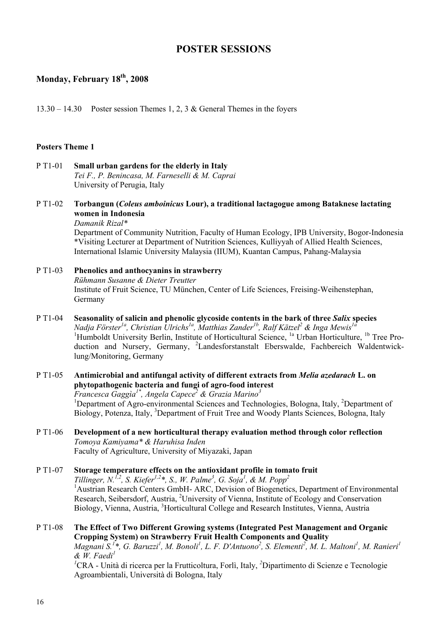# **POSTER SESSIONS**

# **Monday, February 18th, 2008**

13.30 – 14.30 Poster session Themes 1, 2, 3 & General Themes in the foyers

#### **Posters Theme 1**

- P T1-01 **Small urban gardens for the elderly in Italy**  *Tei F., P. Benincasa, M. Farneselli & M. Caprai*  University of Perugia, Italy
- P T1-02 **Torbangun (***Coleus amboinicus* **Lour), a traditional lactagogue among Bataknese lactating women in Indonesia**

*Damanik Rizal\**  Department of Community Nutrition, Faculty of Human Ecology, IPB University, Bogor-Indonesia \*Visiting Lecturer at Department of Nutrition Sciences, Kulliyyah of Allied Health Sciences, International Islamic University Malaysia (IIUM), Kuantan Campus, Pahang-Malaysia

- P T1-03 **Phenolics and anthocyanins in strawberry**  *Rühmann Susanne & Dieter Treutter*  Institute of Fruit Science, TU München, Center of Life Sciences, Freising-Weihenstephan, Germany
- P T1-04 **Seasonality of salicin and phenolic glycoside contents in the bark of three** *Salix* **species** <sup>*Nadja Förster<sup>la</sup>, Christian Ulrichs<sup>la</sup>, Matthias Zander<sup>lb</sup>, Ralf Kätzel<sup>2</sup> & Inga Mewis<sup>la</sup></sup>* <sup>1</sup>Humboldt University Berlin, Institute of Horticultural Science, <sup>1a</sup> Urban Horticulture, <sup>1b</sup> Tree Production and Nursery, Germany, <sup>2</sup>Landesforstanstalt Eberswalde, Fachbereich Waldentwicklung/Monitoring, Germany
- P T1-05 **Antimicrobial and antifungal activity of different extracts from** *Melia azedarach* **L. on phytopathogenic bacteria and fungi of agro-food interest**  *Francesca Gaggìa1\*, Angela Capece2 & Grazia Marino<sup>3</sup>* <sup>1</sup>Department of Agro-environmental Sciences and Technologies, Bologna, Italy, <sup>2</sup>Department of Biology, Potenza, Italy, <sup>3</sup>Department of Fruit Tree and Woody Plants Sciences, Bologna, Italy
- P T1-06 **Development of a new horticultural therapy evaluation method through color reflection**  *Tomoya Kamiyama\* & Haruhisa Inden*  Faculty of Agriculture, University of Miyazaki, Japan

P T1-07 **Storage temperature effects on the antioxidant profile in tomato fruit** *Tillinger, N.*<sup> $1,2$ </sup>, *S. Kiefer*<sup> $1,2$ </sup>\*, *S.*, *W. Palme<sup>3</sup>, G. Soja<sup>1</sup>, & M. Popp*<sup>2</sup> <sup>1</sup> Austrian Research Centers GmbH- ARC, Devision of Biogenetics, Department of Environmental Research, Seibersdorf, Austria, <sup>2</sup>University of Vienna, Institute of Ecology and Conservation Biology, Vienna, Austria, <sup>3</sup>Horticultural College and Research Institutes, Vienna, Austria

P T1-08 **The Effect of Two Different Growing systems (Integrated Pest Management and Organic Cropping System) on Strawberry Fruit Health Components and Quality**  *Magnani S.<sup>1</sup> \*, G. Baruzzi<sup>1</sup> , M. Bonoli1 , L. F. D'Antuono<sup>2</sup> , S. Elementi2 , M. L. Maltoni1 , M. Ranieri<sup>1</sup> & W. Faedi<sup>1</sup> 1* CRA - Unità di ricerca per la Frutticoltura, Forlì, Italy, *<sup>2</sup>* Dipartimento di Scienze e Tecnologie Agroambientali, Università di Bologna, Italy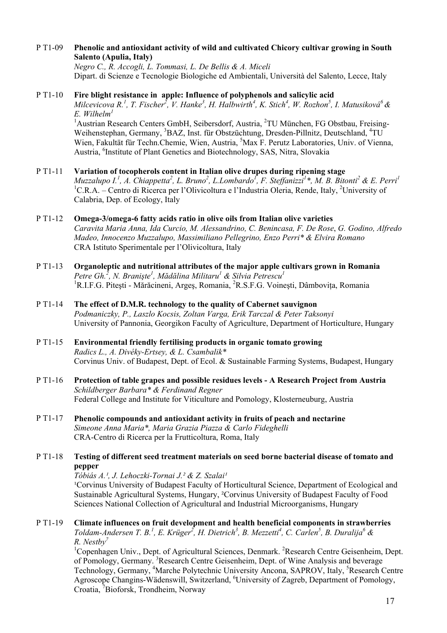#### P T1-09 **Phenolic and antioxidant activity of wild and cultivated Chicory cultivar growing in South Salento (Apulia, Italy)**

*Negro C., R. Accogli, L. Tommasi, L. De Bellis & A. Miceli*  Dipart. di Scienze e Tecnologie Biologiche ed Ambientali, Università del Salento, Lecce, Italy

#### P T1-10 **Fire blight resistance in apple: Influence of polyphenols and salicylic acid**

*Milcevicova R.<sup>1</sup>, T. Fischer<sup>2</sup>, V. Hanke<sup>3</sup>, H. Halbwirth<sup>4</sup>, K. Stich<sup>4</sup>, W. Rozhon<sup>5</sup>, I. Matusiková<sup>6</sup> & E. Wilhelm1*

<sup>1</sup> Austrian Research Centers GmbH, Seibersdorf, Austria, <sup>2</sup>TU München, FG Obstbau, Freising-Weihenstephan, Germany, <sup>3</sup>BAZ, Inst. für Obstzüchtung, Dresden-Pillnitz, Deutschland, <sup>4</sup>TU Wien, Fakultät für Techn.Chemie, Wien, Austria, <sup>5</sup>Max F. Perutz Laboratories, Univ. of Vienna, Austria, <sup>6</sup>Institute of Plant Genetics and Biotechnology, SAS, Nitra, Slovakia

- P T1-11 **Variation of tocopherols content in Italian olive drupes during ripening stage**  *Muzzalupo I.<sup>1</sup> , A. Chiappetta<sup>2</sup> , L. Bruno2 , L.Lombardo1 , F. Steffanizzi<sup>1</sup> \*, M. B. Bitonti<sup>2</sup> & E. Perri<sup>1</sup>* <sup>1</sup>C.R.A. – Centro di Ricerca per l'Olivicoltura e l'Industria Oleria, Rende, Italy, <sup>2</sup>University of Calabria, Dep. of Ecology, Italy
- P T1-12 **Omega-3/omega-6 fatty acids ratio in olive oils from Italian olive varieties**  *Caravita Maria Anna, Ida Curcio, M. Alessandrino, C. Benincasa, F. De Rose*, *G. Godino, Alfredo Madeo, Innocenzo Muzzalupo, Massimiliano Pellegrino, Enzo Perri\* & Elvira Romano* CRA Istituto Sperimentale per l'Olivicoltura, Italy
- P T1-13 **Organoleptic and nutritional attributes of the major apple cultivars grown in Romania** *Petre Gh.<sup>2</sup> , N. Branişte1 , Mădălina Militaru1 & Silvia Petrescu<sup>1</sup>* <sup>1</sup>R.I.F.G. Pitești - Mărăcineni, Argeș, Romania, <sup>2</sup>R.S.F.G. Voinești, Dâmbovița, Romania
- P T1-14 **The effect of D.M.R. technology to the quality of Cabernet sauvignon**  *Podmaniczky, P., Laszlo Kocsis, Zoltan Varga, Erik Tarczal & Peter Taksonyi*  University of Pannonia, Georgikon Faculty of Agriculture, Department of Horticulture, Hungary
- P T1-15 **Environmental friendly fertilising products in organic tomato growing**  *Radics L., A. Divéky-Ertsey, & L. Csambalik\**  Corvinus Univ. of Budapest, Dept. of Ecol. & Sustainable Farming Systems, Budapest, Hungary
- P T1-16 **Protection of table grapes and possible residues levels A Research Project from Austria**  *Schildberger Barbara\* & Ferdinand Regner*  Federal College and Institute for Viticulture and Pomology, Klosterneuburg, Austria
- P T1-17 **Phenolic compounds and antioxidant activity in fruits of peach and nectarine**  *Simeone Anna Maria\*, Maria Grazia Piazza & Carlo Fideghelli*  CRA-Centro di Ricerca per la Frutticoltura, Roma, Italy

# P T1-18 **Testing of different seed treatment materials on seed borne bacterial disease of tomato and pepper**

*Tóbiás A.¹, J. Lehoczki-Tornai J.² & Z. Szalai¹* 

<sup>1</sup>Corvinus University of Budapest Faculty of Horticultural Science, Department of Ecological and Sustainable Agricultural Systems, Hungary, ²Corvinus University of Budapest Faculty of Food Sciences National Collection of Agricultural and Industrial Microorganisms, Hungary

P T1-19 **Climate influences on fruit development and health beneficial components in strawberries**  *Toldam-Andersen T. B.<sup>1</sup>, E. Krüger<sup>2</sup>, H. Dietrich<sup>3</sup>, B. Mezzetti<sup>4</sup>, C. Carlen<sup>5</sup>, B. Duralija<sup>6</sup> & R. Nestby7*

<sup>1</sup>Copenhagen Univ., Dept. of Agricultural Sciences, Denmark. <sup>2</sup>Research Centre Geisenheim, Dept. of Pomology, Germany.<sup>3</sup> Research Centre Geisenheim, Dept. of Wine Analysis and beverage Technology, Germany, <sup>4</sup>Marche Polytechnic University Ancona, SAPROV, Italy, <sup>5</sup>Research Centre Agroscope Changins-Wädenswill, Switzerland, <sup>6</sup>University of Zagreb, Department of Pomology, Croatia, <sup>7</sup>Bioforsk, Trondheim, Norway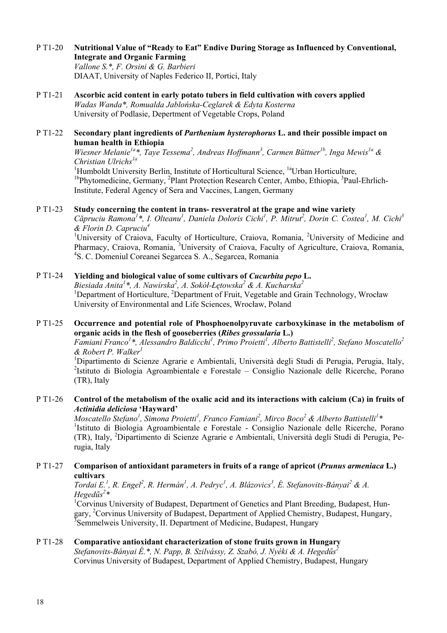#### P T1-20 **Nutritional Value of "Ready to Eat" Endive During Storage as Influenced by Conventional, Integrate and Organic Farming**

*Vallone S.\*, F. Orsini & G. Barbieri*  DIAAT, University of Naples Federico II, Portici, Italy

- P T1-21 **Ascorbic acid content in early potato tubers in field cultivation with covers applied**  *Wadas Wanda\*, Romualda Jablońska-Ceglarek & Edyta Kosterna*  University of Podlasie, Depertment of Vegetable Crops, Poland
- P T1-22 **Secondary plant ingredients of** *Parthenium hysterophorus* **L. and their possible impact on human health in Ethiopia**

*Wiesner Melanie<sup>la\*</sup>, Taye Tessema<sup>2</sup>, Andreas Hoffmann<sup>3</sup>, Carmen Büttner<sup>1b</sup>, Inga Mewis<sup>1a</sup> & Christian Ulrichs1a*

<sup>1</sup>Humboldt University Berlin, Institute of Horticultural Science, <sup>1a</sup>Urban Horticulture, <sup>1b</sup>Phytomedicine, Germany, <sup>2</sup>Plant Protection Research Center, Ambo, Ethiopia, <sup>3</sup>Paul-Ehrlich-Institute, Federal Agency of Sera and Vaccines, Langen, Germany

#### P T1-23 **Study concerning the content in trans- resveratrol at the grape and wine variety**

*Căpruciu Ramona<sup>1</sup> \*, I. Olteanu<sup>1</sup> , Daniela Doloris Cichi<sup>1</sup> , P. Mitrut2 , Dorin C. Costea<sup>1</sup> , M. Cichi3 & Florin D. Capruciu4* 

<sup>1</sup>University of Craiova, Faculty of Horticulture, Craiova, Romania, <sup>2</sup>University of Medicine and Pharmacy, Craiova, Romania, <sup>3</sup>University of Craiova, Faculty of Agriculture, Craiova, Romania, 4 S. C. Domeniul Coreanei Segarcea S. A., Segarcea, Romania

# P T1-24 **Yielding and biological value of some cultivars of** *Cucurbita pepo* **L.**

*Biesiada Anita<sup>1</sup> \*, A. Nawirska<sup>2</sup> , A. Sokół-Łętowska<sup>2</sup> & A. Kucharska<sup>2</sup>* <sup>1</sup>Department of Horticulture, <sup>2</sup>Department of Fruit, Vegetable and Grain Technology, Wrocław University of Environmental and Life Sciences, Wrocław, Poland

P T1-25 **Occurrence and potential role of Phosphoenolpyruvate carboxykinase in the metabolism of organic acids in the flesh of gooseberries (***Ribes grossularia* **L.)** 

*Famiani Franco<sup>1</sup> \*, Alessandro Baldicchi1 , Primo Proietti<sup>1</sup> , Alberto Battistelli2 , Stefano Moscatello2 & Robert P. Walker1*

<sup>1</sup>Dipartimento di Scienze Agrarie e Ambientali, Università degli Studi di Perugia, Perugia, Italy, <sup>2</sup>Istituto di Biologia Agroambientale e Forestale – Consiglio Nazionale delle Ricerche, Porano (TR), Italy

# P T1-26 **Control of the metabolism of the oxalic acid and its interactions with calcium (Ca) in fruits of**  *Actinidia deliciosa* **'Hayward'**

*Moscatello Stefano<sup>1</sup>, Simona Proietti<sup>1</sup>, Franco Famiani<sup>2</sup>, Mirco Boco<sup>2</sup> & Alberto Battistelli<sup>1</sup>\** <sup>1</sup>Istituto di Biologia Agroambientale e Forestale - Consiglio Nazionale delle Ricerche, Porano (TR), Italy, <sup>2</sup>Dipartimento di Scienze Agrarie e Ambientali, Università degli Studi di Perugia, Perugia, Italy

# P T1-27 **Comparison of antioxidant parameters in fruits of a range of apricot (***Prunus armeniaca* **L.) cultivars**

*Tordai E.<sup>1</sup>, R. Engel<sup>2</sup>, R. Hermán<sup>1</sup>, A. Pedryc<sup>1</sup>, A. Blázovics<sup>3</sup>, É. Stefanovits-Bányai<sup>2</sup> & A. Hegedűs 2 \** 

<sup>1</sup>Corvinus University of Budapest, Department of Genetics and Plant Breeding, Budapest, Hungary, <sup>2</sup>Corvinus University of Budapest, Department of Applied Chemistry, Budapest, Hungary, <sup>3</sup>Semmelweis University, II. Department of Medicine, Budapest, Hungary

# P T1-28 **Comparative antioxidant characterization of stone fruits grown in Hungary**

*Stefanovits-Bányai É.\*, N. Papp, B. Szilvássy, Z. Szabó, J. Nyéki & A. Hegedűs 2* Corvinus University of Budapest, Department of Applied Chemistry, Budapest, Hungary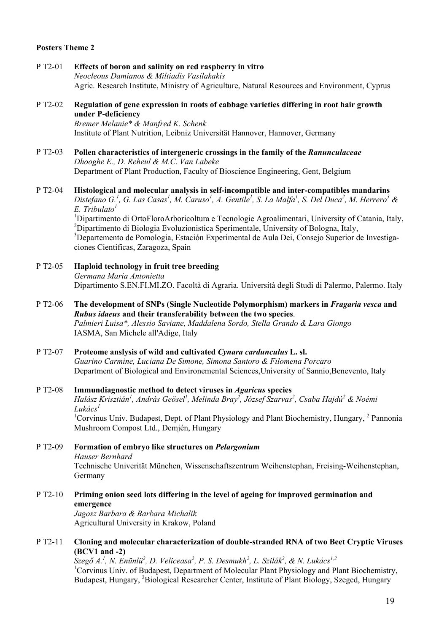#### **Posters Theme 2**

P T2-01 **Effects of boron and salinity on red raspberry in vitro**  *Neocleous Damianos & Miltiadis Vasilakakis*  Agric. Research Institute, Ministry of Agriculture, Natural Resources and Environment, Cyprus

# P T2-02 **Regulation of gene expression in roots of cabbage varieties differing in root hair growth under P-deficiency**

*Bremer Melanie\* & Manfred K. Schenk*  Institute of Plant Nutrition, Leibniz Universität Hannover, Hannover, Germany

#### P T2-03 **Pollen characteristics of intergeneric crossings in the family of the** *Ranunculaceae Dhooghe E., D. Reheul & M.C. Van Labeke*  Department of Plant Production, Faculty of Bioscience Engineering, Gent, Belgium

#### P T2-04 **Histological and molecular analysis in self-incompatible and inter-compatibles mandarins**  *Distefano G.<sup>1</sup> , G. Las Casas1 , M. Caruso<sup>1</sup> , A. Gentile1 , S. La Malfa1 , S. Del Duca<sup>2</sup> , M. Herrero<sup>3</sup> & E. Tribulato<sup>1</sup>* <sup>1</sup>Dipartimento di OrtoFloroArboricoltura e Tecnologie Agroalimentari, University of Catania, Italy, <sup>2</sup>Dipartimento di Biologia Evoluzionistica Sperimentale, University of Bologna, Italy,

<sup>3</sup>Departemento de Pomologia, Estación Experimental de Aula Dei, Consejo Superior de Investigaciones Cientificas, Zaragoza, Spain

#### P T2-05 **Haploid technology in fruit tree breeding**  *Germana Maria Antonietta*  Dipartimento S.EN.FI.MI.ZO. Facoltà di Agraria. Università degli Studi di Palermo, Palermo. Italy

# P T2-06 **The development of SNPs (Single Nucleotide Polymorphism) markers in** *Fragaria vesca* **and**  *Rubus idaeus* **and their transferability between the two species**. *Palmieri Luisa\*, Alessio Saviane, Maddalena Sordo, Stella Grando & Lara Giongo*  IASMA, San Michele all'Adige, Italy

P T2-07 **Proteome anslysis of wild and cultivated** *Cynara cardunculus* **L. sl.**  *Guarino Carmine, Luciana De Simone, Simona Santoro & Filomena Porcaro*  Department of Biological and Environemental Sciences,University of Sannio,Benevento, Italy

# P T2-08 **Immundiagnostic method to detect viruses in** *Agaricus* **species**

*Halász Krisztián<sup>1</sup> , András Geösel<sup>1</sup> , Melinda Bray2 , József Szarvas2 , Csaba Hajdú2 & Noémi Lukács<sup>1</sup>*

<sup>1</sup>Corvinus Univ. Budapest, Dept. of Plant Physiology and Plant Biochemistry, Hungary, <sup>2</sup> Pannonia Mushroom Compost Ltd., Demjén, Hungary

# P T2-09 **Formation of embryo like structures on** *Pelargonium*

*Hauser Bernhard* 

Technische Univerität München, Wissenschaftszentrum Weihenstephan, Freising-Weihenstephan, Germany

# P T2-10 **Priming onion seed lots differing in the level of ageing for improved germination and emergence**

*Jagosz Barbara & Barbara Michalik*  Agricultural University in Krakow, Poland

# P T2-11 **Cloning and molecular characterization of double-stranded RNA of two Beet Cryptic Viruses (BCV1 and -2)**

*Szegő A.<sup>1</sup> , N. Enünlü2 , D. Veliceasa<sup>2</sup> , P. S. Desmukh<sup>2</sup> , L. Szilák2 , & N. Lukács1,2* <sup>1</sup>Corvinus Univ. of Budapest, Department of Molecular Plant Physiology and Plant Biochemistry, Budapest, Hungary, <sup>2</sup>Biological Researcher Center, Institute of Plant Biology, Szeged, Hungary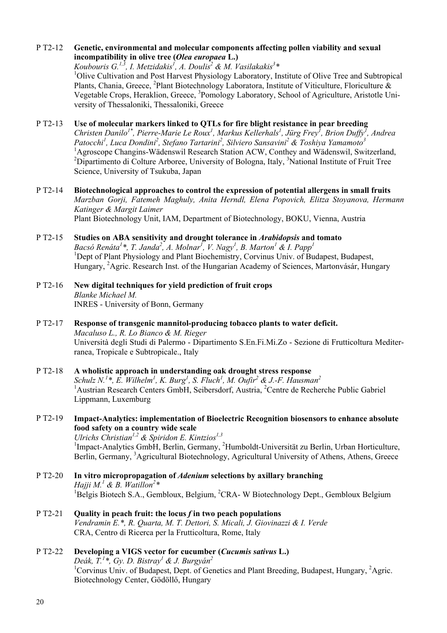#### P T2-12 **Genetic, environmental and molecular components affecting pollen viability and sexual incompatibility in olive tree (***Olea europaea* **L.)**

Koubouris G.<sup>1,3</sup>, I. Metzidakis<sup>1</sup>, A. Doulis<sup>2</sup> & M. Vasilakakis<sup>3</sup>\*

<sup>1</sup>Olive Cultivation and Post Harvest Physiology Laboratory, Institute of Olive Tree and Subtropical Plants, Chania, Greece, <sup>2</sup>Plant Biotechnology Laboratora, Institute of Viticulture, Floriculture & Vegetable Crops, Heraklion, Greece, <sup>3</sup>Pomology Laboratory, School of Agriculture, Aristotle University of Thessaloniki, Thessaloniki, Greece

# P T2-13 **Use of molecular markers linked to QTLs for fire blight resistance in pear breeding**  *Christen Danilo1\*, Pierre-Marie Le Roux1 , Markus Kellerhals1 , Jürg Frey1 , Brion Duffy1 , Andrea Patocchi<sup>1</sup> , Luca Dondini2 , Stefano Tartarini2 , Silviero Sansavini2 & Toshiya Yamamoto<sup>3</sup>* <sup>1</sup>Agroscope Changins-Wädenswil Research Station ACW, Conthey and Wädenswil, Switzerland, <sup>2</sup>Dipartimento di Colture Arboree, University of Bologna, Italy, <sup>3</sup>National Institute of Fruit Tree Science, University of Tsukuba, Japan

- P T2-14 **Biotechnological approaches to control the expression of potential allergens in small fruits**  *Marzban Gorji, Fatemeh Maghuly, Anita Herndl, Elena Popovich, Elitza Stoyanova, Hermann Katinger & Margit Laimer*  Plant Biotechnology Unit, IAM, Department of Biotechnology, BOKU, Vienna, Austria
- P T2-15 **Studies on ABA sensitivity and drought tolerance in** *Arabidopsis* **and tomato**  *Bacsó Renáta1 \*, T. Janda<sup>2</sup> , A. Molnar1 , V. Nagy1 , B. Marton<sup>1</sup> & I. Papp1* <sup>1</sup>Dept of Plant Physiology and Plant Biochemistry, Corvinus Univ. of Budapest, Budapest, Hungary, <sup>2</sup>Agric. Research Inst. of the Hungarian Academy of Sciences, Martonvásár, Hungary
- P T2-16 **New digital techniques for yield prediction of fruit crops**  *Blanke Michael M.*  INRES - University of Bonn, Germany
- P T2-17 **Response of transgenic mannitol-producing tobacco plants to water deficit.**  *Macaluso L., R. Lo Bianco & M. Rieger*  Università degli Studi di Palermo - Dipartimento S.En.Fi.Mi.Zo - Sezione di Frutticoltura Mediterranea, Tropicale e Subtropicale., Italy
- P T2-18 **A wholistic approach in understanding oak drought stress response**  *Schulz N.<sup>1</sup> \*, E. Wilhelm<sup>1</sup> , K. Burg<sup>1</sup> , S. Fluch<sup>1</sup> , M. Oufir2 & J.-F. Hausman<sup>2</sup>* <sup>1</sup> Austrian Research Centers GmbH, Seibersdorf, Austria, <sup>2</sup>Centre de Recherche Public Gabriel Lippmann, Luxemburg

#### P T2-19 **Impact-Analytics: implementation of Bioelectric Recognition biosensors to enhance absolute food safety on a country wide scale** *Ulrichs Christian<sup>1,2</sup> & Spiridon E. Kintzios<sup>1,3</sup>*

<sup>1</sup>Impact-Analytics GmbH, Berlin, Germany, <sup>2</sup>Humboldt-Universität zu Berlin, Urban Horticulture, Berlin, Germany, <sup>3</sup>Agricultural Biotechnology, Agricultural University of Athens, Athens, Greece

- P T2-20 **In vitro micropropagation of** *Adenium* **selections by axillary branching**  *Hajji*  $M$ <sup>*1*</sup> & *B*. *Watillon*<sup>2</sup>\* <sup>1</sup>Belgis Biotech S.A., Gembloux, Belgium, <sup>2</sup>CRA-W Biotechnology Dept., Gembloux Belgium
- P T2-21 **Quality in peach fruit: the locus** *f* **in two peach populations**  *Vendramin E.\*, R. Quarta, M. T. Dettori, S. Micali, J. Giovinazzi & I. Verde*  CRA, Centro di Ricerca per la Frutticoltura, Rome, Italy
- P T2-22 **Developing a VIGS vector for cucumber (***Cucumis sativus* **L.)**  *Deák, T.1 \*, Gy. D. Bistray1 & J. Burgyán<sup>2</sup>* <sup>1</sup>Corvinus Univ. of Budapest, Dept. of Genetics and Plant Breeding, Budapest, Hungary, <sup>2</sup>Agric. Biotechnology Center, Gödöllő, Hungary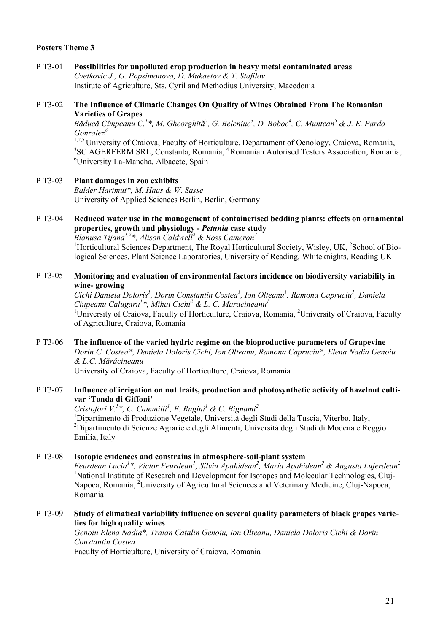#### **Posters Theme 3**

P T3-01 **Possibilities for unpolluted crop production in heavy metal contaminated areas**  *Cvetkovic J., G. Popsimonova, D. Mukaetov & T. Stafilov*  Institute of Agriculture, Sts. Cyril and Methodius University, Macedonia

# P T3-02 **The Influence of Climatic Changes On Quality of Wines Obtained From The Romanian Varieties of Grapes**

*Băducă Cîmpeanu C.<sup>1</sup> \*, M. Gheorghită<sup>2</sup> , G. Beleniuc3 , D. Boboc4 , C. Muntean<sup>5</sup> & J. E. Pardo Gonzalez<sup>6</sup>*

<sup>1,2,5</sup> University of Craiova, Faculty of Horticulture, Departament of Oenology, Craiova, Romania, <sup>3</sup>SC AGERFERM SRL, Constanta, Romania, <sup>4</sup> Romanian Autorised Testers Association, Romania, 6 University La-Mancha, Albacete, Spain

- P T3-03 **Plant damages in zoo exhibits**  *Balder Hartmut\*, M. Haas & W. Sasse*  University of Applied Sciences Berlin, Berlin, Germany
- P T3-04 **Reduced water use in the management of containerised bedding plants: effects on ornamental properties, growth and physiology -** *Petunia* **case study**  *Blanusa Tijana1,2\*, Alison Caldwell2 & Ross Cameron<sup>2</sup>* <sup>1</sup>Horticultural Sciences Department, The Royal Horticultural Society, Wisley, UK, <sup>2</sup>School of Biological Sciences, Plant Science Laboratories, University of Reading, Whiteknights, Reading UK

#### P T3-05 **Monitoring and evaluation of environmental factors incidence on biodiversity variability in wine- growing**

*Cichi Daniela Doloris1 , Dorin Constantin Costea<sup>1</sup> , Ion Olteanu1 , Ramona Capruciu<sup>1</sup> , Daniela*  Ciupeanu Calugaru<sup>1</sup>\*, Mihai Cichi<sup>2</sup> & L. C. Maracineanu<sup>1</sup> <sup>1</sup>University of Craiova, Faculty of Horticulture, Craiova, Romania, <sup>2</sup>University of Craiova, Faculty of Agriculture, Craiova, Romania

P T3-06 **The influence of the varied hydric regime on the bioproductive parameters of Grapevine**  *Dorin C. Costea\*, Daniela Doloris Cichi, Ion Olteanu, Ramona Capruciu\*, Elena Nadia Genoiu & L.C. Mărăcineanu*  University of Craiova, Faculty of Horticulture, Craiova, Romania

#### P T3-07 **Influence of irrigation on nut traits, production and photosynthetic activity of hazelnut cultivar 'Tonda di Giffoni'**

*Cristofori V.<sup>1</sup>\*, C. Cammilli<sup>1</sup>, E. Rugini<sup>1</sup> & C. Bignami<sup>2</sup>* <sup>1</sup>Dipartimento di Produzione Vegetale, Università degli Studi della Tuscia, Viterbo, Italy, 2 Dipartimento di Scienze Agrarie e degli Alimenti, Università degli Studi di Modena e Reggio Emilia, Italy

# P T3-08 **Isotopic evidences and constrains in atmosphere-soil-plant system**

*Feurdean Lucia<sup>1</sup> \*, Victor Feurdean1 , Silviu Apahidean2 , Maria Apahidean2 & Augusta Lujerdean<sup>2</sup>* <sup>1</sup>National Institute of Research and Development for Isotopes and Molecular Technologies, Cluj-Napoca, Romania, <sup>2</sup>University of Agricultural Sciences and Veterinary Medicine, Cluj-Napoca, Romania

# P T3-09 **Study of climatical variability influence on several quality parameters of black grapes varieties for high quality wines**

*Genoiu Elena Nadia\*, Traian Catalin Genoiu, Ion Olteanu, Daniela Doloris Cichi & Dorin Constantin Costea* 

Faculty of Horticulture, University of Craiova, Romania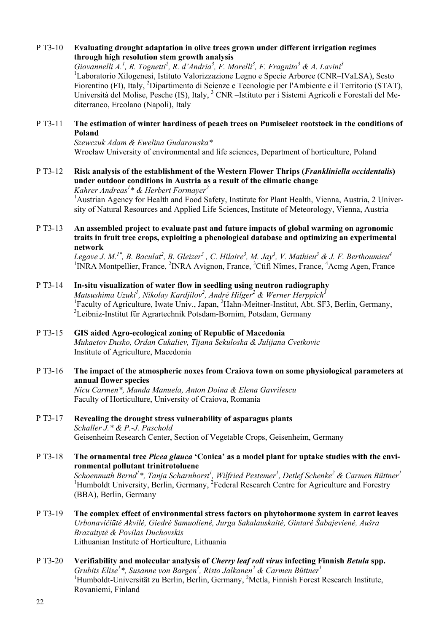#### P T3-10 **Evaluating drought adaptation in olive trees grown under different irrigation regimes through high resolution stem growth analysis**

*Giovannelli A.<sup>1</sup> , R. Tognetti2 , R. d'Andria3 , F. Morelli3 , F. Fragnito<sup>3</sup> & A. Lavini3* <sup>1</sup>Laboratorio Xilogenesi, Istituto Valorizzazione Legno e Specie Arboree (CNR-IVaLSA), Sesto Fiorentino (FI), Italy, <sup>2</sup>Dipartimento di Scienze e Tecnologie per l'Ambiente e il Territorio (STAT), Università del Molise, Pesche (IS), Italy, <sup>3</sup> CNR -Istituto per i Sistemi Agricoli e Forestali del Mediterraneo, Ercolano (Napoli), Italy

#### P T3-11 **The estimation of winter hardiness of peach trees on Pumiselect rootstock in the conditions of Poland**

*Szewczuk Adam & Ewelina Gudarowska\**  Wrocław University of environmental and life sciences, Department of horticulture, Poland

# P T3-12 **Risk analysis of the establishment of the Western Flower Thrips (***Frankliniella occidentalis***) under outdoor conditions in Austria as a result of the climatic change**

*Kahrer Andreas<sup>1</sup> \* & Herbert Formayer<sup>2</sup>*

<sup>1</sup> Austrian Agency for Health and Food Safety, Institute for Plant Health, Vienna, Austria, 2 University of Natural Resources and Applied Life Sciences, Institute of Meteorology, Vienna, Austria

#### P T3-13 **An assembled project to evaluate past and future impacts of global warming on agronomic traits in fruit tree crops, exploiting a phenological database and optimizing an experimental network**

*Legave J. M.<sup>1\*</sup>, B. Baculat<sup>2</sup>, B. Gleizer<sup>3</sup>, C. Hilaire<sup>3</sup>, M. Jay<sup>3</sup>, V. Mathieu<sup>3</sup> & J. F. Berthoumieu<sup>4</sup><br><sup>1</sup>DJB A Montpollier France <sup>2</sup>DJB A Avignon, France <sup>3</sup>Ctifl Nîmes, France <sup>4</sup>Aemes Agen, France* INRA Montpellier, France, <sup>2</sup>INRA Avignon, France, <sup>3</sup>Ctifl Nîmes, France, <sup>4</sup>Acmg Agen, France

# P T3-14 **In-situ visualization of water flow in seedling using neutron radiography**

 $M$ atsushima Uzuki<sup>1</sup>, Nikolay Kardjilov<sup>2</sup>, André Hilger<sup>2</sup> & Werner Herppich<sup>3</sup> <sup>1</sup>Faculty of Agriculture, Iwate Univ., Japan, <sup>2</sup>Hahn-Meitner-Institut, Abt. SF3, Berlin, Germany, 3 Leibniz-Institut für Agrartechnik Potsdam-Bornim, Potsdam, Germany

# P T3-15 **GIS aided Agro-ecological zoning of Republic of Macedonia**

*Mukaetov Dusko, Ordan Cukaliev, Tijana Sekuloska & Julijana Cvetkovic*  Institute of Agriculture, Macedonia

# P T3-16 **The impact of the atmospheric noxes from Craiova town on some physiological parameters at annual flower species**

*Nicu Carmen\*, Manda Manuela, Anton Doina & Elena Gavrilescu*  Faculty of Horticulture, University of Craiova, Romania

#### P T3-17 **Revealing the drought stress vulnerability of asparagus plants**  *Schaller J.\* & P.-J. Paschold*  Geisenheim Research Center, Section of Vegetable Crops, Geisenheim, Germany

# P T3-18 **The ornamental tree** *Picea glauca* **'Conica' as a model plant for uptake studies with the environmental pollutant trinitrotoluene**

*Schoenmuth Bernd<sup>1</sup> \*, Tanja Scharnhorst<sup>1</sup> , Wilfried Pestemer1 , Detlef Schenke2 & Carmen Büttner1* <sup>1</sup>Humboldt University, Berlin, Germany, <sup>2</sup>Federal Research Centre for Agriculture and Forestry (BBA), Berlin, Germany

P T3-19 **The complex effect of environmental stress factors on phytohormone system in carrot leaves**  *Urbonavičiūtė Akvilė, Giedrė Samuolienė, Jurga Sakalauskaitė, Gintarė Šabajevienė, Aušra Brazaitytė & Povilas Duchovskis*  Lithuanian Institute of Horticulture, Lithuania

# P T3-20 **Verifiability and molecular analysis of** *Cherry leaf roll virus* **infecting Finnish** *Betula* **spp.**  *Grubits Elise<sup>1</sup>\*, Susanne von Bargen<sup>1</sup>, Risto Jalkanen<sup>2</sup> & Carmen Büttner<sup>1</sup>* <sup>1</sup>Humboldt-Universität zu Berlin, Berlin, Germany, <sup>2</sup>Metla, Finnish Forest Research Institute, Rovaniemi, Finland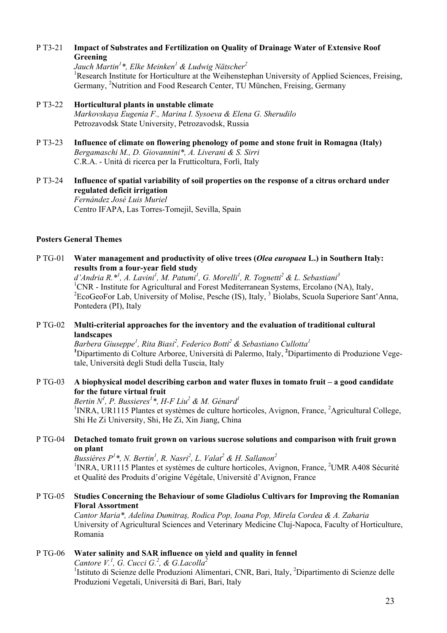#### P T3-21 **Impact of Substrates and Fertilization on Quality of Drainage Water of Extensive Roof Greening**

*Jauch Martin<sup>1</sup> \*, Elke Meinken<sup>1</sup> & Ludwig Nätscher2* <sup>1</sup>Research Institute for Horticulture at the Weihenstephan University of Applied Sciences, Freising, Germany, <sup>2</sup>Nutrition and Food Research Center, TU München, Freising, Germany

- P T3-22 **Horticultural plants in unstable climate**  *Markovskaya Eugenia F., Marina I. Sysoeva & Elena G. Sherudilo*  Petrozavodsk State University, Petrozavodsk, Russia
- P T3-23 **Influence of climate on flowering phenology of pome and stone fruit in Romagna (Italy)**  *Bergamaschi M., D. Giovannini\*, A. Liverani & S. Sirri*  C.R.A. - Unità di ricerca per la Frutticoltura, Forlì, Italy
- P T3-24 **Influence of spatial variability of soil properties on the response of a citrus orchard under regulated deficit irrigation**

*Fernández José Luis Muriel*  Centro IFAPA, Las Torres-Tomejil, Sevilla, Spain

# **Posters General Themes**

P TG-01 **Water management and productivity of olive trees (***Olea europaea* **L.) in Southern Italy: results from a four-year field study** 

*d'Andria R.\*<sup>1</sup> , A. Lavini1 , M. Patumi<sup>1</sup> , G. Morelli1 , R. Tognetti2 & L. Sebastiani3* <sup>1</sup>CNR - Institute for Agricultural and Forest Mediterranean Systems, Ercolano (NA), Italy,  ${}^{2}$ EcoGeoFor Lab, University of Molise, Pesche (IS), Italy,  ${}^{3}$  Biolabs, Scuola Superiore Sant'Anna, Pontedera (PI), Italy

# P TG-02 **Multi-criterial approaches for the inventory and the evaluation of traditional cultural landscapes**

*Barbera Giuseppe1 , Rita Biasi2 , Federico Botti2 & Sebastiano Cullotta<sup>1</sup>* **1** Dipartimento di Colture Arboree, Università di Palermo, Italy, **<sup>2</sup>** Dipartimento di Produzione Vegetale, Università degli Studi della Tuscia, Italy

# P TG-03 **A biophysical model describing carbon and water fluxes in tomato fruit – a good candidate for the future virtual fruit**

*Bertin N1 , P. Bussieres<sup>1</sup> \*, H-F Liu<sup>2</sup> & M. Génard<sup>1</sup>* <sup>1</sup>INRA, UR1115 Plantes et systèmes de culture horticoles, Avignon, France, <sup>2</sup>Agricultural College, Shi He Zi University, Shi, He Zi, Xin Jiang, China

# P TG-04 **Detached tomato fruit grown on various sucrose solutions and comparison with fruit grown on plant**

*Bussières P<sup>1</sup> \*, N. Bertin1 , R. Nasri<sup>2</sup> , L. Valat<sup>2</sup> & H. Sallanon<sup>2</sup>* <sup>1</sup>INRA, UR1115 Plantes et systèmes de culture horticoles, Avignon, France, <sup>2</sup>UMR A408 Sécurité et Qualité des Produits d'origine Végétale, Université d'Avignon, France

# P TG-05 **Studies Concerning the Behaviour of some Gladiolus Cultivars for Improving the Romanian Floral Assortment**

*Cantor Maria\*, Adelina Dumitraş, Rodica Pop, Ioana Pop, Mirela Cordea & A. Zaharia*  University of Agricultural Sciences and Veterinary Medicine Cluj-Napoca, Faculty of Horticulture, Romania

# P TG-06 **Water salinity and SAR influence on yield and quality in fennel**

*Cantore V.<sup>1</sup> , G. Cucci G.2 , & G.Lacolla<sup>2</sup>* <sup>1</sup>Istituto di Scienze delle Produzioni Alimentari, CNR, Bari, Italy, <sup>2</sup>Dipartimento di Scienze delle Produzioni Vegetali, Università di Bari, Bari, Italy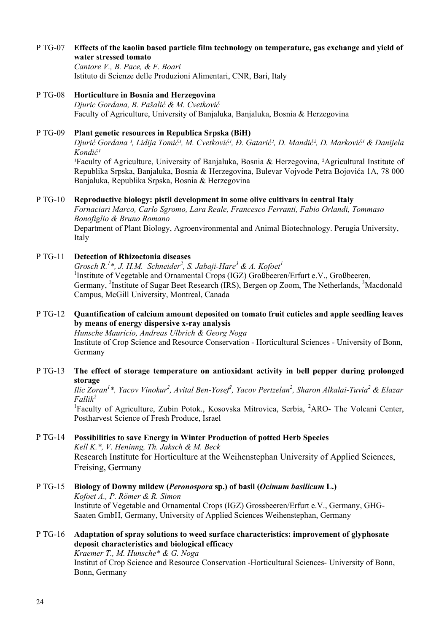#### P TG-07 **Effects of the kaolin based particle film technology on temperature, gas exchange and yield of water stressed tomato**

*Cantore V., B. Pace, & F. Boari*  Istituto di Scienze delle Produzioni Alimentari, CNR, Bari, Italy

P TG-08 **Horticulture in Bosnia and Herzegovina**  *Djuric Gordana, B. Pašalić & M. Cvetković* Faculty of Agriculture, University of Banjaluka, Banjaluka, Bosnia & Herzegovina

# P TG-09 **Plant genetic resources in Republica Srpska (BiH)**

*Djurić Gordana ¹, Lidija Tomić¹, M. Cvetković¹, Đ. Gatarić¹, D. Mandić², D. Marković¹ & Danijela Kondić¹* 

<sup>1</sup>Faculty of Agriculture, University of Banjaluka, Bosnia & Herzegovina, <sup>2</sup>Agricultural Institute of Republika Srpska, Banjaluka, Bosnia & Herzegovina, Bulevar Vojvode Petra Bojovića 1A, 78 000 Banjaluka, Republika Srpska, Bosnia & Herzegovina

#### P TG-10 **Reproductive biology: pistil development in some olive cultivars in central Italy**

*Fornaciari Marco, Carlo Sgromo, Lara Reale, Francesco Ferranti, Fabio Orlandi, Tommaso Bonofiglio & Bruno Romano*  Department of Plant Biology, Agroenvironmental and Animal Biotechnology. Perugia University, Italy

# P TG-11 **Detection of Rhizoctonia diseases**

*Grosch R.<sup>1</sup>\*, J. H.M. Schneider<sup>2</sup>, S. Jabaji-Hare<sup>3</sup> & A. Kofoet<sup>1</sup>* <sup>1</sup>Institute of Vegetable and Ornamental Crops (IGZ) Großbeeren/Erfurt e.V., Großbeeren, Germany, <sup>2</sup>Institute of Sugar Beet Research (IRS), Bergen op Zoom, The Netherlands, <sup>3</sup>Macdonald Campus, McGill University, Montreal, Canada

# P TG-12 **Quantification of calcium amount deposited on tomato fruit cuticles and apple seedling leaves by means of energy dispersive x-ray analysis**

*Hunsche Mauricio, Andreas Ulbrich & Georg Noga*  Institute of Crop Science and Resource Conservation - Horticultural Sciences - University of Bonn, Germany

# P TG-13 **The effect of storage temperature on antioxidant activity in bell pepper during prolonged storage**

*Ilic Zoran<sup>1</sup>\*, Yacov Vinokur<sup>2</sup>, Avital Ben-Yosef<sup>2</sup>, Yacov Pertzelan<sup>2</sup>, Sharon Alkalai-Tuvia<sup>2</sup> & Elazar Fallik2*

<sup>1</sup>Faculty of Agriculture, Zubin Potok., Kosovska Mitrovica, Serbia, <sup>2</sup>ARO- The Volcani Center, Postharvest Science of Fresh Produce, Israel

#### P TG-14 **Possibilities to save Energy in Winter Production of potted Herb Species**  *Kell K.\*, V. Heninng, Th. Jaksch & M. Beck*  Research Institute for Horticulture at the Weihenstephan University of Applied Sciences, Freising, Germany

# P TG-15 **Biology of Downy mildew (***Peronospora* **sp.) of basil (***Ocimum basilicum* **L.)**  *Kofoet A., P. Römer & R. Simon*  Institute of Vegetable and Ornamental Crops (IGZ) Grossbeeren/Erfurt e.V., Germany, GHG-Saaten GmbH, Germany, University of Applied Sciences Weihenstephan, Germany

# P TG-16 **Adaptation of spray solutions to weed surface characteristics: improvement of glyphosate deposit characteristics and biological efficacy**  *Kraemer T., M. Hunsche\* & G. Noga*

Institut of Crop Science and Resource Conservation -Horticultural Sciences- University of Bonn, Bonn, Germany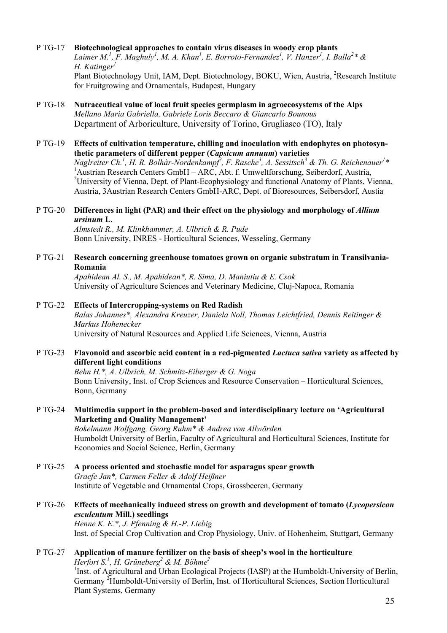# P TG-17 **Biotechnological approaches to contain virus diseases in woody crop plants**  Laimer M.<sup>1</sup>, F. Maghuly<sup>1</sup>, M. A. Khan<sup>1</sup>, E. Borroto-Fernandez<sup>1</sup>, V. Hanzer<sup>1</sup>, I. Balla<sup>2</sup>\* & *H. Katinger*<sup>1</sup> Plant Biotechnology Unit, IAM, Dept. Biotechnology, BOKU, Wien, Austria, <sup>2</sup>Research Institute for Fruitgrowing and Ornamentals, Budapest, Hungary

- P TG-18 **Nutraceutical value of local fruit species germplasm in agroecosystems of the Alps**  *Mellano Maria Gabriella, Gabriele Loris Beccaro & Giancarlo Bounous*  Department of Arboriculture, University of Torino, Grugliasco (TO), Italy
- P TG-19 **Effects of cultivation temperature, chilling and inoculation with endophytes on photosynthetic parameters of different pepper (***Capsicum annuum***) varieties**  *Naglreiter Ch.<sup>1</sup>, H. R. Bolhàr-Nordenkampf<sup>2</sup>, F. Rasche<sup>3</sup>, A. Sessitsch<sup>3</sup> & Th. G. Reichenauer<sup>1</sup>\** <sup>1</sup> Austrian Research Centers GmbH – ARC, Abt. f. Umweltforschung, Seiberdorf, Austria, <sup>2</sup>University of Vienna, Dept. of Plant-Ecophysiology and functional Anatomy of Plants, Vienna, Austria, 3Austrian Research Centers GmbH-ARC, Dept. of Bioresources, Seibersdorf, Austia

# P TG-20 **Differences in light (PAR) and their effect on the physiology and morphology of** *Allium ursinum* **L.**

*Almstedt R., M. Klinkhammer, A. Ulbrich & R. Pude*  Bonn University, INRES - Horticultural Sciences, Wesseling, Germany

# P TG-21 **Research concerning greenhouse tomatoes grown on organic substratum in Transilvania-Romania**

*Apahidean Al. S., M. Apahidean\*, R. Sima, D. Maniutiu & E. Csok*  University of Agriculture Sciences and Veterinary Medicine, Cluj-Napoca, Romania

# P TG-22 **Effects of Intercropping-systems on Red Radish**

*Balas Johannes\*, Alexandra Kreuzer, Daniela Noll, Thomas Leichtfried, Dennis Reitinger & Markus Hohenecker* 

University of Natural Resources and Applied Life Sciences, Vienna, Austria

# P TG-23 **Flavonoid and ascorbic acid content in a red-pigmented** *Lactuca sativa* **variety as affected by different light conditions**

*Behn H.\*, A. Ulbrich, M. Schmitz-Eiberger & G. Noga*  Bonn University, Inst. of Crop Sciences and Resource Conservation – Horticultural Sciences, Bonn, Germany

# P TG-24 **Multimedia support in the problem-based and interdisciplinary lecture on 'Agricultural Marketing and Quality Management'**

*Bokelmann Wolfgang, Georg Ruhm\* & Andrea von Allwörden*  Humboldt University of Berlin, Faculty of Agricultural and Horticultural Sciences, Institute for Economics and Social Science, Berlin, Germany

P TG-25 **A process oriented and stochastic model for asparagus spear growth**  *Graefe Jan\*, Carmen Feller & Adolf Heißner*  Institute of Vegetable and Ornamental Crops, Grossbeeren, Germany

# P TG-26 **Effects of mechanically induced stress on growth and development of tomato (***Lycopersicon esculentum* **Mill.) seedlings**

*Henne K. E.\*, J. Pfenning & H.-P. Liebig*  Inst. of Special Crop Cultivation and Crop Physiology, Univ. of Hohenheim, Stuttgart, Germany

#### P TG-27 **Application of manure fertilizer on the basis of sheep's wool in the horticulture**  *Herfort S.1 , H. Grüneberg<sup>2</sup> & M. Böhme2* <sup>1</sup>Inst. of Agricultural and Urban Ecological Projects (IASP) at the Humboldt-University of Berlin, Germany <sup>2</sup>Humboldt-University of Berlin, Inst. of Horticultural Sciences, Section Horticultural Plant Systems, Germany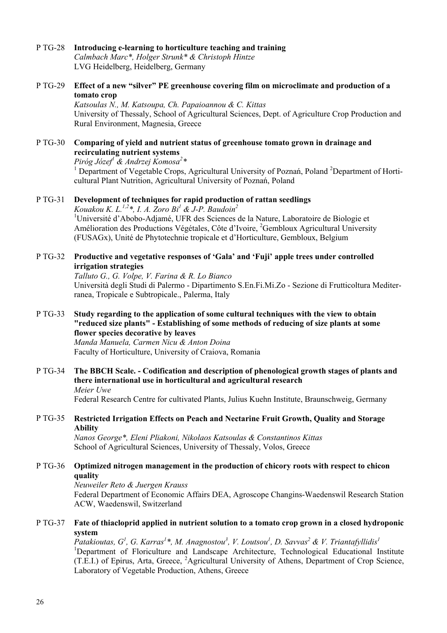#### P TG-28 **Introducing e-learning to horticulture teaching and training**  *Calmbach Marc\*, Holger Strunk\* & Christoph Hintze*

LVG Heidelberg, Heidelberg, Germany

# P TG-29 **Effect of a new "silver" PE greenhouse covering film on microclimate and production of a tomato crop**

*Katsoulas N., M. Katsoupa, Ch. Papaioannou & C. Kittas*  University of Thessaly, School of Agricultural Sciences, Dept. of Agriculture Crop Production and Rural Environment, Magnesia, Greece

# P TG-30 **Comparing of yield and nutrient status of greenhouse tomato grown in drainage and recirculating nutrient systems**

*Piróg Józef<sup>1</sup> & Andrzej Komosa<sup>2</sup> \** 

<sup>1</sup> Department of Vegetable Crops, Agricultural University of Poznań, Poland<sup>2</sup>Department of Horticultural Plant Nutrition, Agricultural University of Poznań, Poland

# P TG-31 **Development of techniques for rapid production of rattan seedlings**  *Kouakou K. L.1,2\*, I. A. Zoro Bi1 & J-P. Baudoin2* <sup>1</sup>Université d'Abobo-Adjamé, UFR des Sciences de la Nature, Laboratoire de Biologie et Amélioration des Productions Végétales, Côte d'Ivoire, <sup>2</sup>Gembloux Agricultural University (FUSAGx), Unité de Phytotechnie tropicale et d'Horticulture, Gembloux, Belgium

# P TG-32 **Productive and vegetative responses of 'Gala' and 'Fuji' apple trees under controlled irrigation strategies**

*Talluto G., G. Volpe, V. Farina & R. Lo Bianco*  Università degli Studi di Palermo - Dipartimento S.En.Fi.Mi.Zo - Sezione di Frutticoltura Mediterranea, Tropicale e Subtropicale., Palerma, Italy

# P TG-33 **Study regarding to the application of some cultural techniques with the view to obtain "reduced size plants" - Establishing of some methods of reducing of size plants at some flower species decorative by leaves**

*Manda Manuela, Carmen Nicu & Anton Doina*  Faculty of Horticulture, University of Craiova, Romania

# P TG-34 **The BBCH Scale. - Codification and description of phenological growth stages of plants and there international use in horticultural and agricultural research**  *Meier Uwe*

Federal Research Centre for cultivated Plants, Julius Kuehn Institute, Braunschweig, Germany

# P TG-35 **Restricted Irrigation Effects on Peach and Nectarine Fruit Growth, Quality and Storage Ability**

*Nanos George\*, Eleni Pliakoni, Nikolaos Katsoulas & Constantinos Kittas*  School of Agricultural Sciences, University of Thessaly, Volos, Greece

# P TG-36 **Optimized nitrogen management in the production of chicory roots with respect to chicon quality**

*Neuweiler Reto & Juergen Krauss*  Federal Department of Economic Affairs DEA, Agroscope Changins-Waedenswil Research Station ACW, Waedenswil, Switzerland

# P TG-37 **Fate of thiacloprid applied in nutrient solution to a tomato crop grown in a closed hydroponic system**

*Patakioutas, G1 , G. Karras1 \*, M. Anagnostou3 , V. Loutsou1 , D. Savvas2 & V. Triantafyllidis1* <sup>1</sup>Department of Floriculture and Landscape Architecture, Technological Educational Institute (T.E.I.) of Epirus, Arta, Greece, <sup>2</sup>Agricultural University of Athens, Department of Crop Science, Laboratory of Vegetable Production, Athens, Greece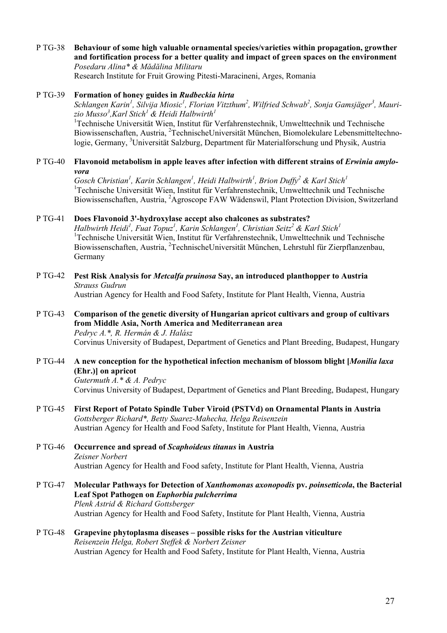P TG-38 **Behaviour of some high valuable ornamental species/varieties within propagation, growther and fortification process for a better quality and impact of green spaces on the environment**  *Posedaru Alina\* & Mădălina Militaru* 

Research Institute for Fruit Growing Pitesti-Maracineni, Arges, Romania

# P TG-39 **Formation of honey guides in** *Rudbeckia hirta*

Schlangen Karin<sup>1</sup>, Silvija Miosic<sup>1</sup>, Florian Vitzthum<sup>2</sup>, Wilfried Schwab<sup>2</sup>, Sonja Gamsjäger<sup>3</sup>, Mauri*zio Musso<sup>3</sup> ,Karl Stich<sup>1</sup> & Heidi Halbwirth<sup>1</sup>* 1 Technische Universität Wien, Institut für Verfahrenstechnik, Umwelttechnik und Technische Biowissenschaften, Austria, <sup>2</sup>TechnischeUniversität München, Biomolekulare Lebensmitteltechnologie, Germany, <sup>3</sup>Universität Salzburg, Department für Materialforschung und Physik, Austria

# P TG-40 **Flavonoid metabolism in apple leaves after infection with different strains of** *Erwinia amylovora*

*Gosch Christian<sup>1</sup>, Karin Schlangen<sup>1</sup>, Heidi Halbwirth<sup>1</sup>, Brion Duffy<sup>2</sup> & Karl Stich<sup>1</sup>* 1 Technische Universität Wien, Institut für Verfahrenstechnik, Umwelttechnik und Technische Biowissenschaften, Austria, <sup>2</sup>Agroscope FAW Wädenswil, Plant Protection Division, Switzerland

# P TG-41 **Does Flavonoid 3'-hydroxylase accept also chalcones as substrates?**

 $H$ albwirth Heidi<sup>1</sup>, Fuat Topuz<sup>1</sup>, Karin Schlangen<sup>1</sup>, Christian Seitz<sup>2</sup> & Karl Stich<sup>1</sup> <sup>1</sup>Technische Universität Wien, Institut für Verfahrenstechnik, Umwelttechnik und Technische Biowissenschaften, Austria, <sup>2</sup>TechnischeUniversität München, Lehrstuhl für Zierpflanzenbau, Germany

P TG-42 **Pest Risk Analysis for** *Metcalfa pruinosa* **Say, an introduced planthopper to Austria**  *Strauss Gudrun* 

Austrian Agency for Health and Food Safety, Institute for Plant Health, Vienna, Austria

#### P TG-43 **Comparison of the genetic diversity of Hungarian apricot cultivars and group of cultivars from Middle Asia, North America and Mediterranean area**  *Pedryc A.\*, R. Hermán & J. Halász* Corvinus University of Budapest, Department of Genetics and Plant Breeding, Budapest, Hungary

# P TG-44 **A new conception for the hypothetical infection mechanism of blossom blight [***Monilia laxa* **(Ehr.)] on apricot**

*Gutermuth A.\* & A. Pedryc*  Corvinus University of Budapest, Department of Genetics and Plant Breeding, Budapest, Hungary

P TG-45 **First Report of Potato Spindle Tuber Viroid (PSTVd) on Ornamental Plants in Austria**  *Gottsberger Richard\*, Betty Suarez-Mahecha, Helga Reisenzein*  Austrian Agency for Health and Food Safety, Institute for Plant Health, Vienna, Austria

P TG-46 **Occurrence and spread of** *Scaphoideus titanus* **in Austria**  *Zeisner Norbert*  Austrian Agency for Health and Food safety, Institute for Plant Health, Vienna, Austria

P TG-47 **Molecular Pathways for Detection of** *Xanthomonas axonopodis* **pv.** *poinsetticola***, the Bacterial Leaf Spot Pathogen on** *Euphorbia pulcherrima Plenk Astrid & Richard Gottsberger*  Austrian Agency for Health and Food Safety, Institute for Plant Health, Vienna, Austria

#### P TG-48 **Grapevine phytoplasma diseases – possible risks for the Austrian viticulture**  *Reisenzein Helga, Robert Steffek & Norbert Zeisner*  Austrian Agency for Health and Food Safety, Institute for Plant Health, Vienna, Austria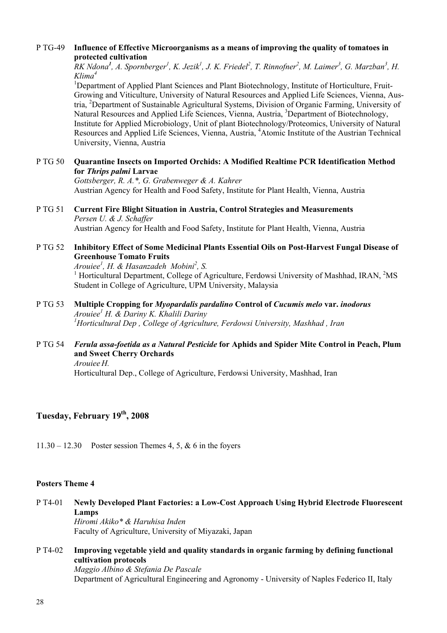# P TG-49 **Influence of Effective Microorganisms as a means of improving the quality of tomatoes in protected cultivation**

*RK Ndona<sup>1</sup> , A. Spornberger<sup>1</sup> , K. Jezik1 , J. K. Friedel2 , T. Rinnofner2 , M. Laimer3 , G. Marzban<sup>3</sup> , H. Klima<sup>4</sup>*

<sup>1</sup>Department of Applied Plant Sciences and Plant Biotechnology, Institute of Horticulture, Fruit-Growing and Viticulture, University of Natural Resources and Applied Life Sciences, Vienna, Austria, <sup>2</sup>Department of Sustainable Agricultural Systems, Division of Organic Farming, University of Natural Resources and Applied Life Sciences, Vienna, Austria, <sup>3</sup>Department of Biotechnology, Institute for Applied Microbiology, Unit of plant Biotechnology/Proteomics, University of Natural Resources and Applied Life Sciences, Vienna, Austria, <sup>4</sup>Atomic Institute of the Austrian Technical University, Vienna, Austria

# P TG 50 **Quarantine Insects on Imported Orchids: A Modified Realtime PCR Identification Method for** *Thrips palmi* **Larvae**

*Gottsberger, R. A.\*, G. Grabenweger & A. Kahrer*  Austrian Agency for Health and Food Safety, Institute for Plant Health, Vienna, Austria

# P TG 51 **Current Fire Blight Situation in Austria, Control Strategies and Measurements**  *Persen U. & J. Schaffer*

Austrian Agency for Health and Food Safety, Institute for Plant Health, Vienna, Austria

# P TG 52 **Inhibitory Effect of Some Medicinal Plants Essential Oils on Post-Harvest Fungal Disease of Greenhouse Tomato Fruits**

*Arouiee<sup>1</sup>*, *H. & Hasanzadeh Mobini<sup>2</sup>, S.* <sup>1</sup> Horticultural Department, College of Agriculture, Ferdowsi University of Mashhad, IRAN, <sup>2</sup>MS Student in College of Agriculture, UPM University, Malaysia

P TG 53 **Multiple Cropping for** *Myopardalis pardalino* **Control of** *Cucumis melo* **var.** *inodorus Arouiee1 H. & Dariny K. Khalili Dariny 1 Horticultural Dep , College of Agriculture, Ferdowsi University, Mashhad , Iran* 

# P TG 54 *Ferula assa-foetida as a Natural Pesticide* **for Aphids and Spider Mite Control in Peach, Plum and Sweet Cherry Orchards**  *Arouiee H.*

Horticultural Dep., College of Agriculture, Ferdowsi University, Mashhad, Iran

# **Tuesday, February 19th, 2008**

 $11.30 - 12.30$  Poster session Themes 4, 5, & 6 in the foyers

# **Posters Theme 4**

P T4-01 **Newly Developed Plant Factories: a Low-Cost Approach Using Hybrid Electrode Fluorescent Lamps**  *Hiromi Akiko\* & Haruhisa Inden* Faculty of Agriculture, University of Miyazaki, Japan

# P T4-02 **Improving vegetable yield and quality standards in organic farming by defining functional cultivation protocols**  *Maggio Albino & Stefania De Pascale*

Department of Agricultural Engineering and Agronomy - University of Naples Federico II, Italy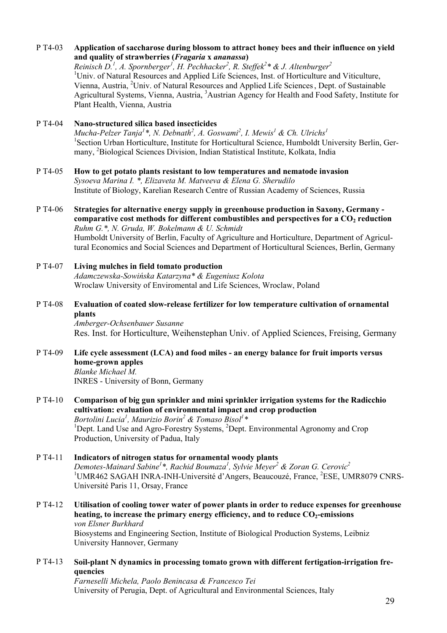#### P T4-03 **Application of saccharose during blossom to attract honey bees and their influence on yield and quality of strawberries (***Fragaria* **x** *ananassa***)**

*Reinisch D.<sup>1</sup> , A. Spornberger<sup>1</sup> , H. Pechhacker2 , R. Steffek2 \* & J. Altenburger2* <sup>1</sup>Univ. of Natural Resources and Applied Life Sciences, Inst. of Horticulture and Viticulture, Vienna, Austria, <sup>2</sup>Univ. of Natural Resources and Applied Life Sciences, Dept. of Sustainable Agricultural Systems, Vienna, Austria, <sup>3</sup>Austrian Agency for Health and Food Safety, Institute for Plant Health, Vienna, Austria

# P T4-04 **Nano-structured silica based insecticides**

*Mucha-Pelzer Tanja1 \*, N. Debnath<sup>2</sup> , A. Goswami<sup>2</sup> , I. Mewis1 & Ch. Ulrichs1* <sup>1</sup>Section Urban Horticulture, Institute for Horticultural Science, Humboldt University Berlin, Germany, <sup>2</sup>Biological Sciences Division, Indian Statistical Institute, Kolkata, India

P T4-05 **How to get potato plants resistant to low temperatures and nematode invasion** *Sysoeva Marina I. \*, Elizaveta M. Matveeva & Elena G. Sherudilo*  Institute of Biology, Karelian Research Centre of Russian Academy of Sciences, Russia

P T4-06 **Strategies for alternative energy supply in greenhouse production in Saxony, Germany**  comparative cost methods for different combustibles and perspectives for a CO<sub>2</sub> reduction *Ruhm G.\*, N. Gruda, W. Bokelmann & U. Schmidt*  Humboldt University of Berlin, Faculty of Agriculture and Horticulture, Department of Agricultural Economics and Social Sciences and Department of Horticultural Sciences, Berlin, Germany

- P T4-07 **Living mulches in field tomato production** *Adamczewska-Sowińska Katarzyna\* & Eugeniusz Kolota*  Wroclaw University of Enviromental and Life Sciences, Wroclaw, Poland
- P T4-08 **Evaluation of coated slow-release fertilizer for low temperature cultivation of ornamental plants**  *Amberger-Ochsenbauer Susanne*  Res. Inst. for Horticulture, Weihenstephan Univ. of Applied Sciences, Freising, Germany

P T4-09 **Life cycle assessment (LCA) and food miles - an energy balance for fruit imports versus home-grown apples**  *Blanke Michael M.*  INRES - University of Bonn, Germany

- P T4-10 **Comparison of big gun sprinkler and mini sprinkler irrigation systems for the Radicchio cultivation: evaluation of environmental impact and crop production**  *Bortolini Lucia<sup>1</sup> , Maurizio Borin<sup>2</sup> & Tomaso Bisol<sup>1</sup> \**  <sup>1</sup>Dept. Land Use and Agro-Forestry Systems, <sup>2</sup>Dept. Environmental Agronomy and Crop Production, University of Padua, Italy
- P T4-11 **Indicators of nitrogen status for ornamental woody plants**  *Demotes-Mainard Sabine1 \*, Rachid Boumaza<sup>1</sup> , Sylvie Meyer2 & Zoran G. Cerovic2* <sup>1</sup>UMR462 SAGAH INRA-INH-Université d'Angers, Beaucouzé, France, <sup>2</sup>ESE, UMR8079 CNRS-Université Paris 11, Orsay, France
- P T4-12 **Utilisation of cooling tower water of power plants in order to reduce expenses for greenhouse**  heating, to increase the primary energy efficiency, and to reduce CO<sub>2</sub>-emissions *von Elsner Burkhard*

Biosystems and Engineering Section, Institute of Biological Production Systems, Leibniz University Hannover, Germany

# P T4-13 **Soil-plant N dynamics in processing tomato grown with different fertigation-irrigation frequencies**

*Farneselli Michela, Paolo Benincasa & Francesco Tei*  University of Perugia, Dept. of Agricultural and Environmental Sciences, Italy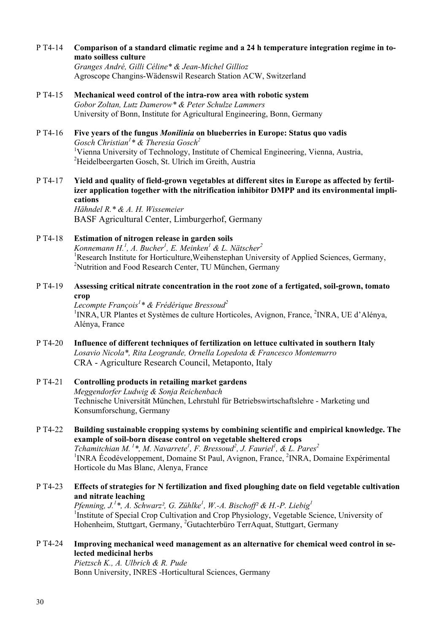P T4-14 **Comparison of a standard climatic regime and a 24 h temperature integration regime in tomato soilless culture** 

> *Granges André, Gilli Céline\* & Jean-Michel Gillioz*  Agroscope Changins-Wädenswil Research Station ACW, Switzerland

- P T4-15 **Mechanical weed control of the intra-row area with robotic system**  *Gobor Zoltan, Lutz Damerow\* & Peter Schulze Lammers*  University of Bonn, Institute for Agricultural Engineering, Bonn, Germany
- P T4-16 **Five years of the fungus** *Monilinia* **on blueberries in Europe: Status quo vadis** *Gosch Christian<sup>1</sup> \* & Theresia Gosch<sup>2</sup>* <sup>1</sup>Vienna University of Technology, Institute of Chemical Engineering, Vienna, Austria, 2 Heidelbeergarten Gosch, St. Ulrich im Greith, Austria
- P T4-17 **Yield and quality of field-grown vegetables at different sites in Europe as affected by fertilizer application together with the nitrification inhibitor DMPP and its environmental implications**  *Hähndel R.\* & A. H. Wissemeier*

BASF Agricultural Center, Limburgerhof, Germany

- P T4-18 **Estimation of nitrogen release in garden soils**  *Konnemann H.<sup>1</sup> , A. Bucher1 , E. Meinken<sup>1</sup> & L. Nätscher2* <sup>1</sup>Research Institute for Horticulture, Weihenstephan University of Applied Sciences, Germany, <sup>2</sup>Nutrition and Food Research Center, TU München, Germany
- P T4-19 **Assessing critical nitrate concentration in the root zone of a fertigated, soil-grown, tomato crop**

*Lecompte François1 \* & Frédérique Bressoud<sup>2</sup>* <sup>1</sup>INRA, UR Plantes et Systèmes de culture Horticoles, Avignon, France, <sup>2</sup>INRA, UE d'Alénya, Alénya, France

- P T4-20 **Influence of different techniques of fertilization on lettuce cultivated in southern Italy**  *Losavio Nicola\*, Rita Leogrande, Ornella Lopedota & Francesco Montemurro*  CRA - Agriculture Research Council, Metaponto, Italy
- P T4-21 **Controlling products in retailing market gardens**  *Meggendorfer Ludwig & Sonja Reichenbach*  Technische Universität München, Lehrstuhl für Betriebswirtschaftslehre - Marketing und Konsumforschung, Germany
- P T4-22 **Building sustainable cropping systems by combining scientific and empirical knowledge. The example of soil-born disease control on vegetable sheltered crops**  *Tchamitchian M. 1\*, M. Navarrete1 , F. Bressoud2 , J. Fauriel1 , & L. Pares2* <sup>1</sup>INRA Écodéveloppement, Domaine St Paul, Avignon, France, <sup>2</sup>INRA, Domaine Expérimental

Horticole du Mas Blanc, Alenya, France P T4-23 **Effects of strategies for N fertilization and fixed ploughing date on field vegetable cultivation** 

> **and nitrate leaching**  Pfenning, J.<sup>1</sup>\*, A. Schwarz<sup>2</sup>, G. Zühlke<sup>1</sup>, W.-A. Bischoff<sup>2</sup> & H.-P. Liebig<sup>1</sup> <sup>1</sup>Institute of Special Crop Cultivation and Crop Physiology, Vegetable Science, University of Hohenheim, Stuttgart, Germany, <sup>2</sup>Gutachterbüro TerrAquat, Stuttgart, Germany

P T4-24 **Improving mechanical weed management as an alternative for chemical weed control in selected medicinal herbs** 

*Pietzsch K., A. Ulbrich & R. Pude*  Bonn University, INRES -Horticultural Sciences, Germany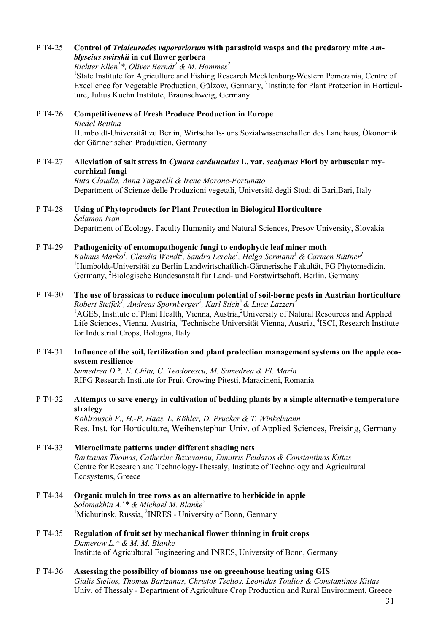# P T4-25 **Control of** *Trialeurodes vaporariorum* **with parasitoid wasps and the predatory mite** *Amblyseius swirskii* **in cut flower gerbera**

*Richter Ellen<sup>1</sup> \*, Oliver Berndt2 & M. Hommes2*

<sup>1</sup>State Institute for Agriculture and Fishing Research Mecklenburg-Western Pomerania, Centre of Excellence for Vegetable Production, Gülzow, Germany, <sup>2</sup>Institute for Plant Protection in Horticulture, Julius Kuehn Institute, Braunschweig, Germany

# P T4-26 **Competitiveness of Fresh Produce Production in Europe**  *Riedel Bettina*  Humboldt-Universität zu Berlin, Wirtschafts- uns Sozialwissenschaften des Landbaus, Ökonomik der Gärtnerischen Produktion, Germany

# P T4-27 **Alleviation of salt stress in** *Cynara cardunculus* **L. var.** *scolymus* **Fiori by arbuscular mycorrhizal fungi**

*Ruta Claudia, Anna Tagarelli & Irene Morone-Fortunato*  Department of Scienze delle Produzioni vegetali, Università degli Studi di Bari,Bari, Italy

# P T4-28 **Using of Phytoproducts for Plant Protection in Biological Horticulture**  *Šalamon Ivan*

Department of Ecology, Faculty Humanity and Natural Sciences, Presov University, Slovakia

#### P T4-29 **Pathogenicity of entomopathogenic fungi to endophytic leaf miner moth** *Kalmus Marko<sup>1</sup> , Claudia Wendt2 , Sandra Lerche1 , Helga Sermann1 & Carmen Büttner<sup>1</sup>* 1 Humboldt-Universität zu Berlin Landwirtschaftlich-Gärtnerische Fakultät, FG Phytomedizin, Germany, <sup>2</sup>Biologische Bundesanstalt für Land- und Forstwirtschaft, Berlin, Germany

#### P T4-30 **The use of brassicas to reduce inoculum potential of soil-borne pests in Austrian horticulture**  *Robert Steffek1 , Andreas Spornberger<sup>2</sup> , Karl Stich3 & Luca Lazzeri4*  <sup>1</sup>AGES, Institute of Plant Health, Vienna, Austria,<sup>2</sup>University of Natural Resources and Applied Life Sciences, Vienna, Austria, <sup>3</sup>Technische Universität Vienna, Austria, <sup>4</sup>ISCI, Research Institute for Industrial Crops, Bologna, Italy

# P T4-31 **Influence of the soil, fertilization and plant protection management systems on the apple ecosystem resilience**

*Sumedrea D.\*, E. Chitu, G. Teodorescu, M. Sumedrea & Fl. Marin*  RIFG Research Institute for Fruit Growing Pitesti, Maracineni, Romania

# P T4-32 **Attempts to save energy in cultivation of bedding plants by a simple alternative temperature strategy**

*Kohlrausch F., H.-P. Haas, L. Köhler, D. Prucker & T. Winkelmann*  Res. Inst. for Horticulture, Weihenstephan Univ. of Applied Sciences, Freising, Germany

# P T4-33 **Microclimate patterns under different shading nets**  *Bartzanas Thomas, Catherine Baxevanou, Dimitris Feidaros & Constantinos Kittas* Centre for Research and Technology-Thessaly, Institute of Technology and Agricultural Ecosystems, Greece

- P T4-34 **Organic mulch in tree rows as an alternative to herbicide in apple**  *Solomakhin A.<sup>1</sup> \* & Michael M. Blanke2* <sup>1</sup>Michurinsk, Russia, <sup>2</sup>INRES - University of Bonn, Germany
- P T4-35 **Regulation of fruit set by mechanical flower thinning in fruit crops**  *Damerow L.\* & M. M. Blanke*  Institute of Agricultural Engineering and INRES, University of Bonn, Germany
- P T4-36 **Assessing the possibility of biomass use on greenhouse heating using GIS**  *Gialis Stelios, Thomas Bartzanas, Christos Tselios, Leonidas Toulios & Constantinos Kittas*  Univ. of Thessaly - Department of Agriculture Crop Production and Rural Environment, Greece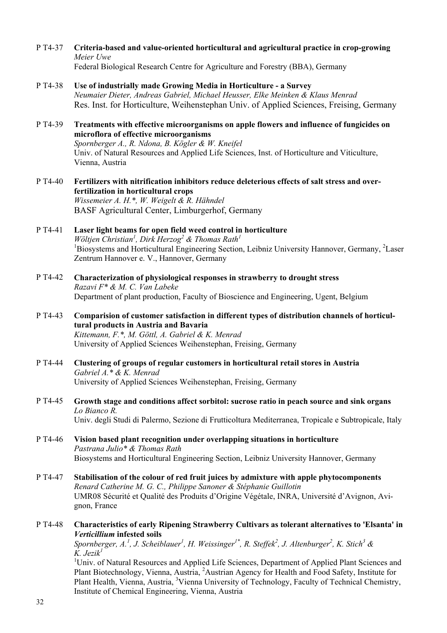- P T4-37 **Criteria-based and value-oriented horticultural and agricultural practice in crop-growing**  *Meier Uwe*  Federal Biological Research Centre for Agriculture and Forestry (BBA), Germany
- P T4-38 **Use of industrially made Growing Media in Horticulture a Survey** *Neumaier Dieter, Andreas Gabriel, Michael Heusser, Elke Meinken & Klaus Menrad*  Res. Inst. for Horticulture, Weihenstephan Univ. of Applied Sciences, Freising, Germany
- P T4-39 **Treatments with effective microorganisms on apple flowers and influence of fungicides on microflora of effective microorganisms**  *Spornberger A., R. Ndona, B. Kögler & W. Kneifel*  Univ. of Natural Resources and Applied Life Sciences, Inst. of Horticulture and Viticulture, Vienna, Austria
- P T4-40 **Fertilizers with nitrification inhibitors reduce deleterious effects of salt stress and overfertilization in horticultural crops**  *Wissemeier A. H.\*, W. Weigelt & R. Hähndel*  BASF Agricultural Center, Limburgerhof, Germany
- P T4-41 **Laser light beams for open field weed control in horticulture**  *Wöltjen Christian<sup>1</sup>*, *Dirk Herzog<sup>2</sup> & Thomas Rath<sup>1</sup>* <sup>1</sup>Biosystems and Horticultural Engineering Section, Leibniz University Hannover, Germany, <sup>2</sup>Laser Zentrum Hannover e. V., Hannover, Germany
- P T4-42 **Characterization of physiological responses in strawberry to drought stress**  *Razavi F\* & M. C. Van Labeke*  Department of plant production, Faculty of Bioscience and Engineering, Ugent, Belgium
- P T4-43 **Comparision of customer satisfaction in different types of distribution channels of horticultural products in Austria and Bavaria**  *Kittemann, F.\*, M. Göttl, A. Gabriel & K. Menrad*  University of Applied Sciences Weihenstephan, Freising, Germany
- P T4-44 **Clustering of groups of regular customers in horticultural retail stores in Austria**  *Gabriel A.\* & K. Menrad*  University of Applied Sciences Weihenstephan, Freising, Germany
- P T4-45 **Growth stage and conditions affect sorbitol: sucrose ratio in peach source and sink organs**  *Lo Bianco R.*  Univ. degli Studi di Palermo, Sezione di Frutticoltura Mediterranea, Tropicale e Subtropicale, Italy
- P T4-46 **Vision based plant recognition under overlapping situations in horticulture**  *Pastrana Julio\* & Thomas Rath*  Biosystems and Horticultural Engineering Section, Leibniz University Hannover, Germany
- P T4-47 **Stabilisation of the colour of red fruit juices by admixture with apple phytocomponents**  *Renard Catherine M. G. C., Philippe Sanoner & Stéphanie Guillotin*  UMR08 Sécurité et Qualité des Produits d'Origine Végétale, INRA, Université d'Avignon, Avignon, France

# P T4-48 **Characteristics of early Ripening Strawberry Cultivars as tolerant alternatives to 'Elsanta' in**  *Verticillium* **infested soils**

*Spornberger, A.<sup>1</sup>, J. Scheiblauer<sup>1</sup>, H. Weissinger<sup>1\*</sup>, R. Steffek<sup>2</sup>, J. Altenburger<sup>2</sup>, K. Stich<sup>3</sup> & K. Jezik1*

<sup>1</sup>Univ. of Natural Resources and Applied Life Sciences, Department of Applied Plant Sciences and Plant Biotechnology, Vienna, Austria, <sup>2</sup>Austrian Agency for Health and Food Safety, Institute for Plant Health, Vienna, Austria, <sup>3</sup>Vienna University of Technology, Faculty of Technical Chemistry, Institute of Chemical Engineering, Vienna, Austria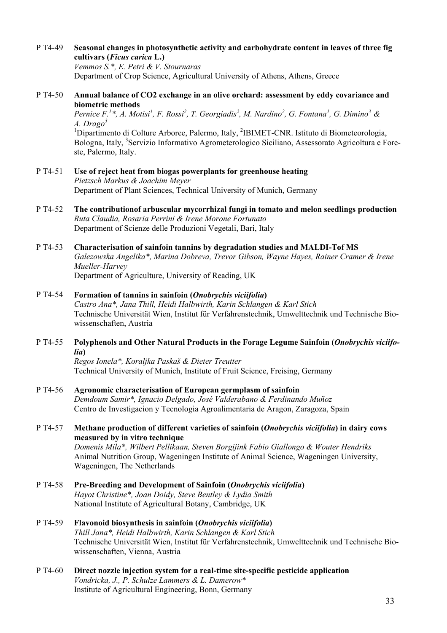# P T4-49 **Seasonal changes in photosynthetic activity and carbohydrate content in leaves of three fig cultivars (***Ficus carica* **L.)**

*Vemmos S.\*, E. Petri & V. Stournaras*  Department of Crop Science, Agricultural University of Athens, Athens, Greece

#### P T4-50 **Annual balance of CO2 exchange in an olive orchard: assessment by eddy covariance and biometric methods**

*Pernice F.<sup>1</sup> \*, A. Motisi<sup>1</sup> , F. Rossi<sup>2</sup> , T. Georgiadis<sup>2</sup> , M. Nardino<sup>2</sup> , G. Fontana<sup>1</sup> , G. Dimino3 & A. Drago<sup>3</sup>*

<sup>1</sup>Dipartimento di Colture Arboree, Palermo, Italy, <sup>2</sup>IBIMET-CNR. Istituto di Biometeorologia, Bologna, Italy, <sup>3</sup>Servizio Informativo Agrometerologico Siciliano, Assessorato Agricoltura e Foreste, Palermo, Italy.

- P T4-51 **Use of reject heat from biogas powerplants for greenhouse heating** *Pietzsch Markus & Joachim Meyer*  Department of Plant Sciences, Technical University of Munich, Germany
- P T4-52 **The contributionof arbuscular mycorrhizal fungi in tomato and melon seedlings production**  *Ruta Claudia, Rosaria Perrini & Irene Morone Fortunato*  Department of Scienze delle Produzioni Vegetali, Bari, Italy
- P T4-53 **Characterisation of sainfoin tannins by degradation studies and MALDI-Tof MS**  *Galezowska Angelika\*, Marina Dobreva, Trevor Gibson, Wayne Hayes, Rainer Cramer & Irene Mueller-Harvey*  Department of Agriculture, University of Reading, UK

# P T4-54 **Formation of tannins in sainfoin (***Onobrychis viciifolia***)**  *Castro Ana\*, Jana Thill, Heidi Halbwirth, Karin Schlangen & Karl Stich*  Technische Universität Wien, Institut für Verfahrenstechnik, Umwelttechnik und Technische Biowissenschaften, Austria

# P T4-55 **Polyphenols and Other Natural Products in the Forage Legume Sainfoin (***Onobrychis viciifolia***)**

*Regos Ionela\*, Koraljka Paskaš & Dieter Treutter*  Technical University of Munich, Institute of Fruit Science, Freising, Germany

- P T4-56 **Agronomic characterisation of European germplasm of sainfoin**  *Demdoum Samir\*, Ignacio Delgado, José Valderabano & Ferdinando Muñoz*  Centro de Investigacion y Tecnologia Agroalimentaria de Aragon, Zaragoza, Spain
- P T4-57 **Methane production of different varieties of sainfoin (***Onobrychis viciifolia***) in dairy cows measured by in vitro technique**

*Domenis Mila\*, Wilbert Pellikaan, Steven Borgijink Fabio Giallongo & Wouter Hendriks*  Animal Nutrition Group, Wageningen Institute of Animal Science, Wageningen University, Wageningen, The Netherlands

P T4-58 **Pre-Breeding and Development of Sainfoin (***Onobrychis viciifolia***)**  *Hayot Christine\*, Joan Doidy, Steve Bentley & Lydia Smith*  National Institute of Agricultural Botany, Cambridge, UK

# P T4-59 **Flavonoid biosynthesis in sainfoin (***Onobrychis viciifolia***)**  *Thill Jana\*, Heidi Halbwirth, Karin Schlangen & Karl Stich*  Technische Universität Wien, Institut für Verfahrenstechnik, Umwelttechnik und Technische Biowissenschaften, Vienna, Austria

P T4-60 **Direct nozzle injection system for a real-time site-specific pesticide application**  *Vondricka, J., P. Schulze Lammers & L. Damerow\**  Institute of Agricultural Engineering, Bonn, Germany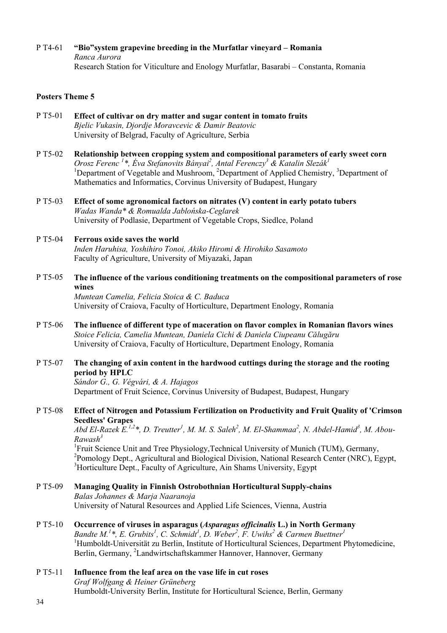P T4-61 **"Bio"system grapevine breeding in the Murfatlar vineyard – Romania**  *Ranca Aurora*  Research Station for Viticulture and Enology Murfatlar, Basarabi – Constanta, Romania

#### **Posters Theme 5**

- P T5-01 **Effect of cultivar on dry matter and sugar content in tomato fruits**  *Bjelic Vukasin, Djordje Moravcevic & Damir Beatovic* University of Belgrad, Faculty of Agriculture, Serbia
- P T5-02 **Relationship between cropping system and compositional parameters of early sweet corn**  *Orosz Ferenc<sup>1</sup>\*, Éva Stefanovits Bányai<sup>2</sup>, Antal Ferenczy<sup>3</sup> & Katalin Slezák<sup>1</sup>* <sup>1</sup>Department of Vegetable and Mushroom, <sup>2</sup>Department of Applied Chemistry, <sup>3</sup>Department of Mathematics and Informatics, Corvinus University of Budapest, Hungary
- P T5-03 **Effect of some agronomical factors on nitrates (V) content in early potato tubers**  *Wadas Wanda\* & Romualda Jablońska-Ceglarek* University of Podlasie, Department of Vegetable Crops, Siedlce, Poland

# P T5-04 **Ferrous oxide saves the world**

*Inden Haruhisa, Yoshihiro Tonoi, Akiko Hiromi & Hirohiko Sasamoto*  Faculty of Agriculture, University of Miyazaki, Japan

P T5-05 **The influence of the various conditioning treatments on the compositional parameters of rose wines**  *Muntean Camelia, Felicia Stoica & C. Baduca* 

University of Craiova, Faculty of Horticulture, Department Enology, Romania

- P T5-06 **The influence of different type of maceration on flavor complex in Romanian flavors wines**  *Stoice Felicia, Camelia Muntean, Daniela Cichi & Daniela Ciupeanu Călugăru*  University of Craiova, Faculty of Horticulture, Department Enology, Romania
- P T5-07 **The changing of axin content in the hardwood cuttings during the storage and the rooting period by HPLC**

*Sándor G., G. Végvári, & A. Hajagos*  Department of Fruit Science, Corvinus University of Budapest, Budapest, Hungary

# P T5-08 **Effect of Nitrogen and Potassium Fertilization on Productivity and Fruit Quality of 'Crimson Seedless' Grapes**

Abd El-Razek E.<sup>1,2</sup>\*, D. Treutter<sup>1</sup>, M. M. S. Saleh<sup>2</sup>, M. El-Shammaa<sup>2</sup>, N. Abdel-Hamid<sup>3</sup>, M. Abou-*Rawash<sup>3</sup>*

<sup>1</sup> Fruit Science Unit and Tree Physiology, Technical University of Munich (TUM), Germany, <sup>2</sup> Pomology Dept., Agricultural and Biological Division, National Research Center (NRC), Egypt, <sup>3</sup>Horticulture Dept., Faculty of Agriculture, Ain Shams University, Egypt

#### P T5-09 **Managing Quality in Finnish Ostrobothnian Horticultural Supply-chains**  *Balas Johannes & Marja Naaranoja*  University of Natural Resources and Applied Life Sciences, Vienna, Austria

- P T5-10 **Occurrence of viruses in asparagus (***Asparagus officinalis* **L.) in North Germany**  *Bandte M.<sup>1</sup>\*, E. Grubits<sup>1</sup>, C. Schmidt<sup>1</sup>, D. Weber<sup>2</sup>, F. Uwihs<sup>2</sup> & Carmen Buettner<sup>1</sup>* <sup>1</sup>Humboldt-Universität zu Berlin, Institute of Horticultural Sciences, Department Phytomedicine, Berlin, Germany, <sup>2</sup>Landwirtschaftskammer Hannover, Hannover, Germany
- P T5-11 **Influence from the leaf area on the vase life in cut roses**  *Graf Wolfgang & Heiner Grüneberg*  Humboldt-University Berlin, Institute for Horticultural Science, Berlin, Germany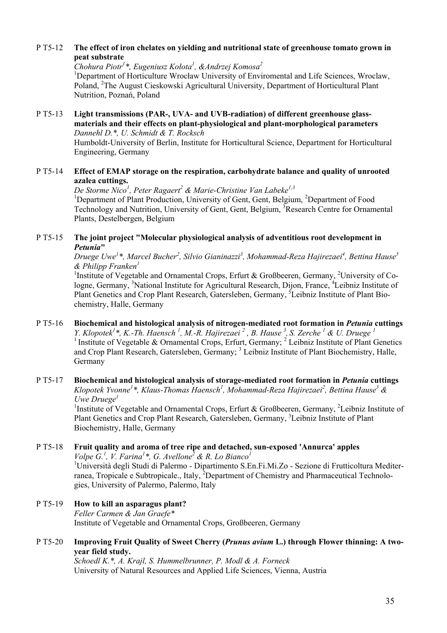# P T5-12 **The effect of iron chelates on yielding and nutritional state of greenhouse tomato grown in peat substrate**

*Chohura Piotr1 \*, Eugeniusz Kołota<sup>1</sup> , &Andrzej Komosa<sup>2</sup>*

<sup>1</sup>Department of Horticulture Wrocław University of Enviromental and Life Sciences, Wroclaw, Poland, <sup>2</sup>The August Cieskowski Agricultural University, Department of Horticultural Plant Nutrition, Poznań, Poland

#### P T5-13 **Light transmissions (PAR-, UVA- and UVB-radiation) of different greenhouse glassmaterials and their effects on plant-physiological and plant-morphological parameters**  *Dannehl D.\*, U. Schmidt & T. Rocksch*

Humboldt-University of Berlin, Institute for Horticultural Science, Department for Horticultural Engineering, Germany

# P T5-14 **Effect of EMAP storage on the respiration, carbohydrate balance and quality of unrooted azalea cuttings.**

*De Storme Nico<sup>1</sup> , Peter Ragaert<sup>2</sup> & Marie-Christine Van Labeke1,3* <sup>1</sup>Department of Plant Production, University of Gent, Gent, Belgium, <sup>2</sup>Department of Food Technology and Nutrition, University of Gent, Gent, Belgium, <sup>3</sup>Research Centre for Ornamental Plants, Destelbergen, Belgium

# P T5-15 **The joint project "Molecular physiological analysis of adventitious root development in**  *Petunia***"**

*Druege Uwe1 \*, Marcel Bucher2 , Silvio Gianinazzi<sup>3</sup> , Mohammad-Reza Hajirezaei<sup>4</sup> , Bettina Hause5 & Philipp Franken<sup>1</sup>*

<sup>1</sup>Institute of Vegetable and Ornamental Crops, Erfurt & Großbeeren, Germany, <sup>2</sup>University of Cologne, Germany, <sup>3</sup>National Institute for Agricultural Research, Dijon, France, <sup>4</sup>Leibniz Institute of Plant Genetics and Crop Plant Research, Gatersleben, Germany, <sup>5</sup>Leibniz Institute of Plant Biochemistry, Halle, Germany

# P T5-16 **Biochemical and histological analysis of nitrogen-mediated root formation in** *Petunia* **cuttings**  *Y. Klopotek<sup>1</sup> \*, K.-Th. Haensch 1 , M.-R. Hajirezaei 2 , B. Hause <sup>3</sup> , S. Zerche <sup>1</sup> & U. Druege 1* <sup>1</sup> Institute of Vegetable & Ornamental Crops, Erfurt, Germany; <sup>2</sup> Leibniz Institute of Plant Genetics and Crop Plant Research, Gatersleben, Germany; <sup>3</sup> Leibniz Institute of Plant Biochemistry, Halle, Germany

# P T5-17 **Biochemical and histological analysis of storage-mediated root formation in** *Petunia* **cuttings** *Klopotek Yvonne1 \*, Klaus-Thomas Haensch<sup>1</sup> , Mohammad-Reza Hajirezaei<sup>2</sup> , Bettina Hause3 & Uwe Druege1*

<sup>1</sup>Institute of Vegetable and Ornamental Crops, Erfurt & Großbeeren, Germany, <sup>2</sup>Leibniz Institute of Plant Genetics and Crop Plant Research, Gatersleben, Germany, <sup>3</sup>Leibniz Institute of Plant Biochemistry, Halle, Germany

#### P T5-18 **Fruit quality and aroma of tree ripe and detached, sun-exposed 'Annurca' apples**   $Volpe$   $\hat{G}$ <sup>1</sup>, *V.* Farina<sup>1</sup>\*, *G.* Avellone<sup>2</sup> & R. Lo Bianco<sup>1</sup>

<sup>1</sup>Università degli Studi di Palermo - Dipartimento S.En.Fi.Mi.Zo - Sezione di Frutticoltura Mediterranea, Tropicale e Subtropicale., Italy, <sup>2</sup>Department of Chemistry and Pharmaceutical Technologies, University of Palermo, Palermo, Italy

#### P T5-19 **How to kill an asparagus plant?**  *Feller Carmen & Jan Graefe\**  Institute of Vegetable and Ornamental Crops, Großbeeren, Germany

# P T5-20 **Improving Fruit Quality of Sweet Cherry (***Prunus avium* **L.) through Flower thinning: A twoyear field study.**

*Schoedl K.\*, A. Krajl, S. Hummelbrunner, P. Modl & A. Forneck*  University of Natural Resources and Applied Life Sciences, Vienna, Austria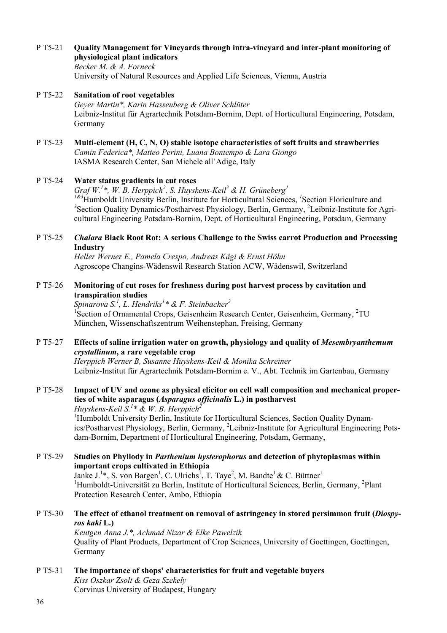# P T5-21 **Quality Management for Vineyards through intra-vineyard and inter-plant monitoring of physiological plant indicators**

*Becker M. & A. Forneck*  University of Natural Resources and Applied Life Sciences, Vienna, Austria

- P T5-22 **Sanitation of root vegetables**  *Geyer Martin\*, Karin Hassenberg & Oliver Schlüter*  Leibniz-Institut für Agrartechnik Potsdam-Bornim, Dept. of Horticultural Engineering, Potsdam, Germany
- P T5-23 **Multi-element (H, C, N, O) stable isotope characteristics of soft fruits and strawberries**  *Camin Federica\*, Matteo Perini, Luana Bontempo & Lara Giongo*  IASMA Research Center, San Michele all'Adige, Italy
- P T5-24 **Water status gradients in cut roses**   $Graf W<sup>1</sup>$ <sup>\*</sup>, *W. B. Herppich*<sup>2</sup>, *S. Huyskens-Keil*<sup>3</sup> & *H. Grüneberg*<sup>1</sup> <sup>1&3</sup>Humboldt University Berlin, Institute for Horticultural Sciences, <sup>1</sup>Section Floriculture and <sup>3</sup> Section Quality Dynamics/Postharvest Physiology, Berlin, Germany, <sup>2</sup>Leibniz-Institute for Agricultural Engineering Potsdam-Bornim, Dept. of Horticultural Engineering, Potsdam, Germany
- P T5-25 *Chalara* **Black Root Rot: A serious Challenge to the Swiss carrot Production and Processing Industry**

*Heller Werner E., Pamela Crespo, Andreas Kägi & Ernst Höhn*  Agroscope Changins-Wädenswil Research Station ACW, Wädenswil, Switzerland

# P T5-26 **Monitoring of cut roses for freshness during post harvest process by cavitation and transpiration studies**

*Spinarova S.1 , L. Hendriks1 \* & F. Steinbacher2* <sup>1</sup>Section of Ornamental Crops, Geisenheim Research Center, Geisenheim, Germany, <sup>2</sup>TU München, Wissenschaftszentrum Weihenstephan, Freising, Germany

# P T5-27 **Effects of saline irrigation water on growth, physiology and quality of** *Mesembryanthemum crystallinum***, a rare vegetable crop**

*Herppich Werner B, Susanne Huyskens-Keil & Monika Schreiner*  Leibniz-Institut für Agrartechnik Potsdam-Bornim e. V., Abt. Technik im Gartenbau, Germany

# P T5-28 **Impact of UV and ozone as physical elicitor on cell wall composition and mechanical properties of white asparagus (***Asparagus officinalis* **L.) in postharvest**

*Huyskens-Keil S.1 \* & W. B. Herppich<sup>2</sup>* <sup>1</sup>Humboldt University Berlin, Institute for Horticultural Sciences, Section Quality Dynamics/Postharvest Physiology, Berlin, Germany, <sup>2</sup>Leibniz-Institute for Agricultural Engineering Potsdam-Bornim, Department of Horticultural Engineering, Potsdam, Germany,

P T5-29 **Studies on Phyllody in** *Parthenium hysterophorus* **and detection of phytoplasmas within important crops cultivated in Ethiopia** 

Janke J.<sup>1</sup>\*, S. von Bargen<sup>1</sup>, C. Ulrichs<sup>1</sup>, T. Taye<sup>2</sup>, M. Bandte<sup>1</sup> & C. Büttner<sup>1</sup> <sup>1</sup>Humboldt-Universität zu Berlin, Institute of Horticultural Sciences, Berlin, Germany, <sup>2</sup>Plant Protection Research Center, Ambo, Ethiopia

# P T5-30 **The effect of ethanol treatment on removal of astringency in stored persimmon fruit (***Diospyros kaki* **L.)**

*Keutgen Anna J.\*, Achmad Nizar & Elke Pawelzik*  Quality of Plant Products, Department of Crop Sciences, University of Goettingen, Goettingen, Germany

P T5-31 **The importance of shops' characteristics for fruit and vegetable buyers**  *Kiss Oszkar Zsolt & Geza Szekely*  Corvinus University of Budapest, Hungary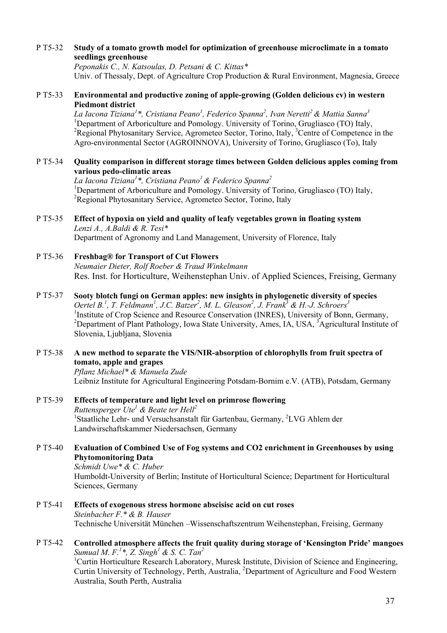#### P T5-32 **Study of a tomato growth model for optimization of greenhouse microclimate in a tomato seedlings greenhouse**

*Peponakis C., N. Katsoulas, D. Petsani & C. Kittas\**  Univ. of Thessaly, Dept. of Agriculture Crop Production & Rural Environment, Magnesia, Greece

#### P T5-33 **Environmental and productive zoning of apple-growing (Golden delicious cv) in western Piedmont district**

 $La\ Iacona\ Tiziana<sup>1</sup>*, Cristiana\ Peano<sup>1</sup>, Federico Spanna<sup>2</sup>, Ivan Neretti<sup>2</sup> & Mattia Sanna<sup>3</sup>$ <sup>1</sup>Department of Arboriculture and Pomology. University of Torino, Grugliasco (TO) Italy, <sup>2</sup>Regional Phytosanitary Service, Agrometeo Sector, Torino, Italy, <sup>3</sup>Centre of Competence in the Agro-environmental Sector (AGROINNOVA), University of Torino, Grugliasco (To), Italy

# P T5-34 **Quality comparison in different storage times between Golden delicious apples coming from various pedo-climatic areas**

*La Iacona Tiziana1 \*, Cristiana Peano1 & Federico Spanna2* <sup>1</sup>Department of Arboriculture and Pomology. University of Torino, Grugliasco (TO) Italy, 2 Regional Phytosanitary Service, Agrometeo Sector, Torino, Italy

# P T5-35 **Effect of hypoxia on yield and quality of leafy vegetables grown in floating system**  *Lenzi A., A.Baldi & R. Tesi\**

Department of Agronomy and Land Management, University of Florence, Italy

#### P T5-36 **Freshbag® for Transport of Cut Flowers**  *Neumaier Dieter, Rolf Roeber & Traud Winkelmann*

Res. Inst. for Horticulture, Weihenstephan Univ. of Applied Sciences, Freising, Germany

P T5-37 **Sooty blotch fungi on German apples: new insights in phylogenetic diversity of species**  *Oertel B.1 , T. Feldmann<sup>1</sup> , J.C. Batzer2 , M. L. Gleason<sup>2</sup> , J. Frank3 & H.-J. Schroers3* <sup>1</sup>Institute of Crop Science and Resource Conservation (INRES), University of Bonn, Germany, <sup>2</sup>Department of Plant Pathology, Iowa State University, Ames, IA, USA,  ${}^{3}$ Agricultural Institute of Slovenia, Ljubljana, Slovenia

# P T5-38 **A new method to separate the VIS/NIR-absorption of chlorophylls from fruit spectra of tomato, apple and grapes**

*Pflanz Michael\* & Manuela Zude*  Leibniz Institute for Agricultural Engineering Potsdam-Bornim e.V. (ATB), Potsdam, Germany

# P T5-39 **Effects of temperature and light level on primrose flowering**  *Ruttensperger Ute<sup>1</sup> & Beate ter Hell<sup>2</sup>* <sup>1</sup>Staatliche Lehr- und Versuchsanstalt für Gartenbau, Germany, <sup>2</sup>LVG Ahlem der Landwirschaftskammer Niedersachsen, Germany

P T5-40 **Evaluation of Combined Use of Fog systems and CO2 enrichment in Greenhouses by using Phytomonitoring Data**  *Schmidt Uwe\* & C. Huber* 

Humboldt-University of Berlin; Institute of Horticultural Science; Department for Horticultural Sciences, Germany

P T5-41 **Effects of exogenous stress hormone abscisisc acid on cut roses**  *Steinbacher F.\* & B. Hauser*  Technische Universität München –Wissenschaftszentrum Weihenstephan, Freising, Germany

#### P T5-42 **Controlled atmosphere affects the fruit quality during storage of 'Kensington Pride' mangoes**  *Sumual M. F.*<sup> $1$ </sup>\*, *Z. Singh<sup>1</sup> & S. C. Tan*<sup>2</sup> <sup>1</sup>Curtin Horticulture Research Laboratory, Muresk Institute, Division of Science and Engineering, Curtin University of Technology, Perth, Australia, <sup>2</sup>Department of Agriculture and Food Western Australia, South Perth, Australia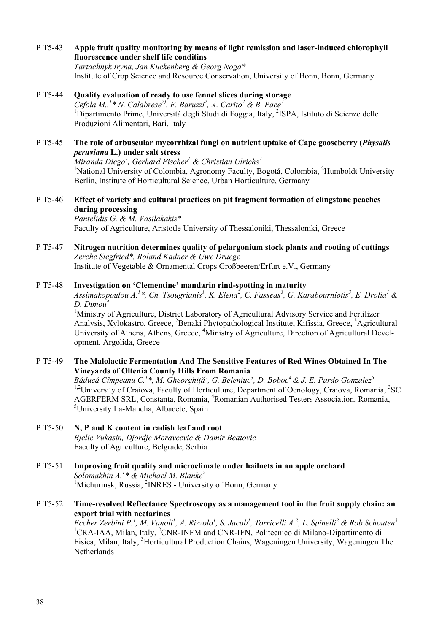P T5-43 **Apple fruit quality monitoring by means of light remission and laser-induced chlorophyll fluorescence under shelf life conditins** 

*Tartachnyk Iryna, Jan Kuckenberg & Georg Noga\**  Institute of Crop Science and Resource Conservation, University of Bonn, Bonn, Germany

- P T5-44 **Quality evaluation of ready to use fennel slices during storage**  Cefola M.,<sup>1</sup>\* N. Calabrese<sup>2)</sup>, F. Baruzzi<sup>2</sup>, A. Carito<sup>2</sup> & B. Pace<sup>2</sup> <sup>1</sup>Dipartimento Prime, Università degli Studi di Foggia, Italy, <sup>2</sup>ISPA, Istituto di Scienze delle Produzioni Alimentari, Bari, Italy
- P T5-45 **The role of arbuscular mycorrhizal fungi on nutrient uptake of Cape gooseberry (***Physalis peruviana* **L.) under salt stress**

*Miranda Diego<sup>1</sup> , Gerhard Fischer1 & Christian Ulrichs2* <sup>1</sup>National University of Colombia, Agronomy Faculty, Bogotá, Colombia, <sup>2</sup>Humboldt University Berlin, Institute of Horticultural Science, Urban Horticulture, Germany

P T5-46 **Effect of variety and cultural practices on pit fragment formation of clingstone peaches during processing** 

*Pantelidis G. & M. Vasilakakis\**  Faculty of Agriculture, Aristotle University of Thessaloniki, Thessaloniki, Greece

P T5-47 **Nitrogen nutrition determines quality of pelargonium stock plants and rooting of cuttings**  *Zerche Siegfried\*, Roland Kadner & Uwe Druege*  Institute of Vegetable & Ornamental Crops Großbeeren/Erfurt e.V., Germany

#### P T5-48 **Investigation on 'Clementine' mandarin rind-spotting in maturity**

Assimakopoulou A.<sup>1</sup>\*, Ch. Tsougrianis<sup>1</sup>, K. Elena<sup>2</sup>, C. Fasseas<sup>3</sup>, G. Karabourniotis<sup>3</sup>, E. Drolia<sup>1</sup> & *D. Dimou<sup>4</sup>*

<sup>1</sup>Ministry of Agriculture, District Laboratory of Agricultural Advisory Service and Fertilizer Analysis, Xylokastro, Greece, <sup>2</sup>Benaki Phytopathological Institute, Kifissia, Greece, <sup>3</sup>Agricultural University of Athens, Athens, Greece, <sup>4</sup>Ministry of Agriculture, Direction of Agricultural Development, Argolida, Greece

P T5-49 **The Malolactic Fermentation And The Sensitive Features of Red Wines Obtained In The Vineyards of Oltenia County Hills From Romania** 

*Băducă Cîmpeanu C.<sup>1</sup> \*, M. Gheorghiţă<sup>2</sup> , G. Beleniuc3 , D. Boboc4 & J. E. Pardo Gonzalez5* <sup>1,2</sup> University of Craiova, Faculty of Horticulture, Department of Oenology, Craiova, Romania, <sup>3</sup>SC AGERFERM SRL, Constanta, Romania, 4 Romanian Authorised Testers Association, Romania, 5 University La-Mancha, Albacete, Spain

- P T5-50 **N, P and K content in radish leaf and root**  *Bjelic Vukasin, Djordje Moravcevic & Damir Beatovic*  Faculty of Agriculture, Belgrade, Serbia
- P T5-51 **Improving fruit quality and microclimate under hailnets in an apple orchard**  *Solomakhin A.<sup>1</sup> \* & Michael M. Blanke2* <sup>1</sup>Michurinsk, Russia, <sup>2</sup>INRES - University of Bonn, Germany
- P T5-52 **Time-resolved Reflectance Spectroscopy as a management tool in the fruit supply chain: an export trial with nectarines**

*Eccher Zerbini P.<sup>1</sup> , M. Vanoli1 , A. Rizzolo<sup>1</sup> , S. Jacob1 , Torricelli A.2 , L. Spinelli2 & Rob Schouten3* <sup>1</sup>CRA-IAA, Milan, Italy, <sup>2</sup>CNR-INFM and CNR-IFN, Politecnico di Milano-Dipartimento di Fisica, Milan, Italy, <sup>3</sup>Horticultural Production Chains, Wageningen University, Wageningen The **Netherlands**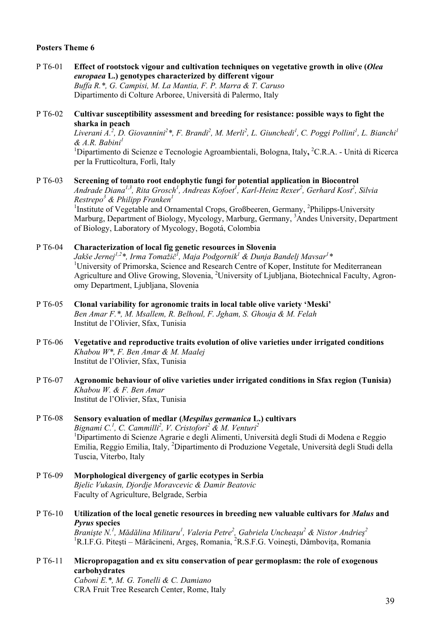#### **Posters Theme 6**

P T6-01 **Effect of rootstock vigour and cultivation techniques on vegetative growth in olive (***Olea europaea* **L.) genotypes characterized by different vigour** 

*Buffa R.\*, G. Campisi, M. La Mantia, F. P. Marra & T. Caruso*  Dipartimento di Colture Arboree, Università di Palermo, Italy

P T6-02 **Cultivar susceptibility assessment and breeding for resistance: possible ways to fight the sharka in peach**

Liverani A.<sup>2</sup>, D. Giovannini<sup>2</sup>\*, F. Brandi<sup>2</sup>, M. Merli<sup>2</sup>, L. Giunchedi<sup>1</sup>, C. Poggi Pollini<sup>1</sup>, L. Bianchi<sup>1</sup> *& A.R. Babini1*

<sup>1</sup>Dipartimento di Scienze e Tecnologie Agroambientali, Bologna, Italy, <sup>2</sup>C.R.A. - Unità di Ricerca per la Frutticoltura, Forlì, Italy

- P T6-03 **Screening of tomato root endophytic fungi for potential application in Biocontrol**  Andrade Diana<sup>1,3</sup>, Rita Grosch<sup>1</sup>, Andreas Kofoet<sup>1</sup>, Karl-Heinz Rexer<sup>2</sup>, Gerhard Kost<sup>2</sup>, Silvia *Restrepo<sup>3</sup> & Philipp Franken<sup>1</sup>* <sup>1</sup>Institute of Vegetable and Ornamental Crops, Großbeeren, Germany, <sup>2</sup>Philipps-University Marburg, Department of Biology, Mycology, Marburg, Germany, <sup>3</sup>Andes University, Department of Biology, Laboratory of Mycology, Bogotá, Colombia
- P T6-04 **Characterization of local fig genetic resources in Slovenia**   $J$ akše Jernej<sup>1,2</sup>\*, Irma Tomaži $\vec{c}^{\text{I}}$ , Maja Podgornik<sup>1</sup> & Dunja Bandelj Mavsar<sup>1</sup>\* <sup>1</sup>University of Primorska, Science and Research Centre of Koper, Institute for Mediterranean Agriculture and Olive Growing, Slovenia, <sup>2</sup>University of Ljubljana, Biotechnical Faculty, Agronomy Department, Ljubljana, Slovenia
- P T6-05 **Clonal variability for agronomic traits in local table olive variety 'Meski'**  *Ben Amar F.\*, M. Msallem, R. Belhoul, F. Jgham, S. Ghouja & M. Felah*  Institut de l'Olivier, Sfax, Tunisia
- P T6-06 **Vegetative and reproductive traits evolution of olive varieties under irrigated conditions**  *Khabou W\*, F. Ben Amar & M. Maalej*  Institut de l'Olivier, Sfax, Tunisia
- P T6-07 **Agronomic behaviour of olive varieties under irrigated conditions in Sfax region (Tunisia)**  *Khabou W. & F. Ben Amar*  Institut de l'Olivier, Sfax, Tunisia

P T6-08 **Sensory evaluation of medlar (***Mespilus germanica* **L.) cultivars**  *Bignami C.<sup>1</sup> , C. Cammilli2 , V. Cristofori<sup>2</sup> & M. Venturi<sup>2</sup>* <sup>1</sup>Dipartimento di Scienze Agrarie e degli Alimenti, Università degli Studi di Modena e Reggio Emilia, Reggio Emilia, Italy, <sup>2</sup>Dipartimento di Produzione Vegetale, Università degli Studi della Tuscia, Viterbo, Italy

- P T6-09 **Morphological divergency of garlic ecotypes in Serbia**  *Bjelic Vukasin, Djordje Moravcevic & Damir Beatovic*  Faculty of Agriculture, Belgrade, Serbia
- P T6-10 **Utilization of the local genetic resources in breeding new valuable cultivars for** *Malus* **and**  *Pyrus* **species**  *Branişte N.1 , Mădălina Militaru<sup>1</sup> , Valeria Petre2 , Gabriela Uncheaşu 2 & Nistor Andrieş 2* <sup>1</sup>R.I.F.G. Pitești – Mărăcineni, Argeș, Romania, <sup>2</sup>R.S.F.G. Voinești, Dâmbovița, Romania
- P T6-11 **Micropropagation and ex situ conservation of pear germoplasm: the role of exogenous carbohydrates**

*Caboni E.\*, M. G. Tonelli & C. Damiano*  CRA Fruit Tree Research Center, Rome, Italy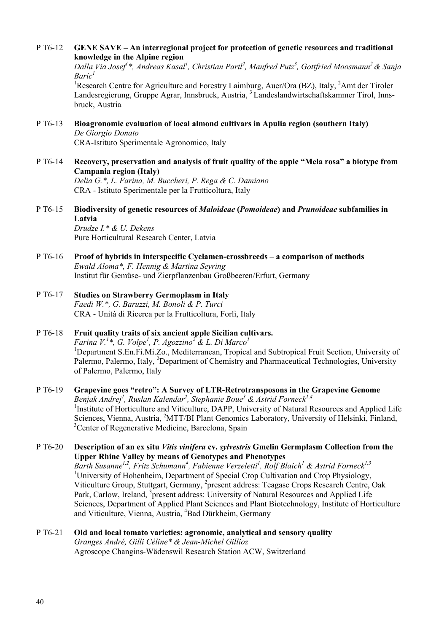# P T6-12 **GENE SAVE – An interregional project for protection of genetic resources and traditional knowledge in the Alpine region**

*Dalla Via Josef1 \*, Andreas Kasal<sup>1</sup> , Christian Partl2 , Manfred Putz3 , Gottfried Moosmann2 & Sanja Baric1*

<sup>1</sup>Research Centre for Agriculture and Forestry Laimburg, Auer/Ora (BZ), Italy, <sup>2</sup>Amt der Tiroler Landesregierung, Gruppe Agrar, Innsbruck, Austria, <sup>3</sup> Landeslandwirtschaftskammer Tirol, Innsbruck, Austria

P T6-13 **Bioagronomic evaluation of local almond cultivars in Apulia region (southern Italy)**  *De Giorgio Donato*  CRA-Istituto Sperimentale Agronomico, Italy

# P T6-14 **Recovery, preservation and analysis of fruit quality of the apple "Mela rosa" a biotype from Campania region (Italy)**

*Delia G.\*, L. Farina, M. Buccheri, P. Rega & C. Damiano*  CRA - Istituto Sperimentale per la Frutticoltura, Italy

# P T6-15 **Biodiversity of genetic resources of** *Maloideae* **(***Pomoideae***) and** *Prunoideae* **subfamilies in Latvia**  *Drudze I.\* & U. Dekens*

Pure Horticultural Research Center, Latvia

P T6-16 **Proof of hybrids in interspecific Cyclamen-crossbreeds – a comparison of methods** *Ewald Aloma\*, F. Hennig & Martina Seyring*  Institut für Gemüse- und Zierpflanzenbau Großbeeren/Erfurt, Germany

# P T6-17 **Studies on Strawberry Germoplasm in Italy**  *Faedi W.\*, G. Baruzzi, M. Bonoli & P. Turci*  CRA - Unità di Ricerca per la Frutticoltura, Forlì, Italy

# P T6-18 **Fruit quality traits of six ancient apple Sicilian cultivars.**  *Farina V.1 \*, G. Volpe1 , P. Agozzino<sup>2</sup> & L. Di Marco<sup>1</sup>* <sup>1</sup>Department S.En.Fi.Mi.Zo., Mediterranean, Tropical and Subtropical Fruit Section, University of Palermo, Palermo, Italy, <sup>2</sup>Department of Chemistry and Pharmaceutical Technologies, University of Palermo, Palermo, Italy

#### P T6-19 **Grapevine goes "retro": A Survey of LTR-Retrotransposons in the Grapevine Genome**  *Benjak Andrej<sup>1</sup> , Ruslan Kalendar2 , Stephanie Boue3 & Astrid Forneck1,4* <sup>1</sup>Institute of Horticulture and Viticulture, DAPP, University of Natural Resources and Applied Life Sciences, Vienna, Austria, <sup>2</sup>MTT/BI Plant Genomics Laboratory, University of Helsinki, Finland, <sup>3</sup> Center of Regenerative Medicine, Barcelona, Spain

# P T6-20 **Description of an ex situ** *Vitis vinifera* **cv.** *sylvestris* **Gmelin Germplasm Collection from the Upper Rhine Valley by means of Genotypes and Phenotypes** *Barth Susanne1,2, Fritz Schumann4 , Fabienne Verzeletti1 , Rolf Blaich<sup>1</sup> & Astrid Forneck1,3* <sup>1</sup>University of Hohenheim, Department of Special Crop Cultivation and Crop Physiology, Viticulture Group, Stuttgart, Germany, <sup>2</sup>present address: Teagasc Crops Research Centre, Oak Park, Carlow, Ireland, <sup>3</sup>present address: University of Natural Resources and Applied Life Sciences, Department of Applied Plant Sciences and Plant Biotechnology, Institute of Horticulture and Viticulture, Vienna, Austria, <sup>4</sup>Bad Dürkheim, Germany

#### P T6-21 **Old and local tomato varieties: agronomic, analytical and sensory quality**  *Granges André, Gilli Céline\* & Jean-Michel Gillioz*  Agroscope Changins-Wädenswil Research Station ACW, Switzerland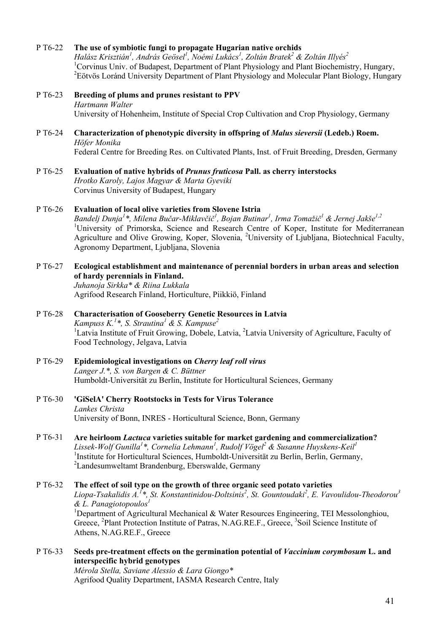|         | Halász Krisztián <sup>1</sup> , András Geösel <sup>1</sup> , Noémi Lukács <sup>1</sup> , Zoltán Bratek <sup>2</sup> & Zoltán Illyés <sup>2</sup><br><sup>1</sup> Corvinus Univ. of Budapest, Department of Plant Physiology and Plant Biochemistry, Hungary,<br><sup>2</sup> Eötvös Loránd University Department of Plant Physiology and Molecular Plant Biology, Hungary                                                                                                                                                               |
|---------|-----------------------------------------------------------------------------------------------------------------------------------------------------------------------------------------------------------------------------------------------------------------------------------------------------------------------------------------------------------------------------------------------------------------------------------------------------------------------------------------------------------------------------------------|
| P T6-23 | Breeding of plums and prunes resistant to PPV<br>Hartmann Walter                                                                                                                                                                                                                                                                                                                                                                                                                                                                        |
|         | University of Hohenheim, Institute of Special Crop Cultivation and Crop Physiology, Germany                                                                                                                                                                                                                                                                                                                                                                                                                                             |
| P T6-24 | Characterization of phenotypic diversity in offspring of Malus sieversii (Ledeb.) Roem.<br>Höfer Monika                                                                                                                                                                                                                                                                                                                                                                                                                                 |
|         | Federal Centre for Breeding Res. on Cultivated Plants, Inst. of Fruit Breeding, Dresden, Germany                                                                                                                                                                                                                                                                                                                                                                                                                                        |
| P T6-25 | Evaluation of native hybrids of Prunus fruticosa Pall. as cherry interstocks<br>Hrotko Karoly, Lajos Magyar & Marta Gyeviki<br>Corvinus University of Budapest, Hungary                                                                                                                                                                                                                                                                                                                                                                 |
| P T6-26 | <b>Evaluation of local olive varieties from Slovene Istria</b><br>Bandelj Dunja <sup>1*</sup> , Milena Bučar-Miklavčič <sup>1</sup> , Bojan Butinar <sup>1</sup> , Irma Tomažič <sup>1</sup> & Jernej Jakše <sup>1,2</sup><br><sup>1</sup> University of Primorska, Science and Research Centre of Koper, Institute for Mediterranean<br>Agriculture and Olive Growing, Koper, Slovenia, <sup>2</sup> University of Ljubljana, Biotechnical Faculty,<br>Agronomy Department, Ljubljana, Slovenia                                        |
| P T6-27 | Ecological establishment and maintenance of perennial borders in urban areas and selection<br>of hardy perennials in Finland.<br>Juhanoja Sirkka* & Riina Lukkala<br>Agrifood Research Finland, Horticulture, Piikkiö, Finland                                                                                                                                                                                                                                                                                                          |
| P T6-28 | <b>Characterisation of Gooseberry Genetic Resources in Latvia</b><br>Kampuss K. <sup>1*</sup> , S. Strautina <sup>1</sup> & S. Kampuse <sup>2</sup><br><sup>1</sup> Latvia Institute of Fruit Growing, Dobele, Latvia, <sup>2</sup> Latvia University of Agriculture, Faculty of<br>Food Technology, Jelgava, Latvia                                                                                                                                                                                                                    |
| P T6-29 | Epidemiological investigations on Cherry leaf roll virus<br>Langer J.*, S. von Bargen & C. Büttner<br>Humboldt-Universität zu Berlin, Institute for Horticultural Sciences, Germany                                                                                                                                                                                                                                                                                                                                                     |
| P T6-30 | 'GiSelA' Cherry Rootstocks in Tests for Virus Tolerance<br>Lankes Christa<br>University of Bonn, INRES - Horticultural Science, Bonn, Germany                                                                                                                                                                                                                                                                                                                                                                                           |
| P T6-31 | Are heirloom Lactuca varieties suitable for market gardening and commercialization?<br>Lissek-Wolf Gunilla <sup>1</sup> *, Cornelia Lehmann <sup>1</sup> , Rudolf Vögel <sup>2</sup> & Susanne Huyskens-Keil <sup>1</sup><br><sup>1</sup> Institute for Horticultural Sciences, Humboldt-Universität zu Berlin, Berlin, Germany,<br><sup>2</sup> Landesumweltamt Brandenburg, Eberswalde, Germany                                                                                                                                       |
| P T6-32 | The effect of soil type on the growth of three organic seed potato varieties<br>Liopa-Tsakalidis A. <sup>T*</sup> , St. Konstantinidou-Doltsinis <sup>2</sup> , St. Gountoudaki <sup>2</sup> , E. Vavoulidou-Theodorou <sup>3</sup><br>& L. Panagiotopoulos <sup>1</sup><br><sup>1</sup> Department of Agricultural Mechanical & Water Resources Engineering, TEI Messolonghiou,<br>Greece, <sup>2</sup> Plant Protection Institute of Patras, N.AG.RE.F., Greece, <sup>3</sup> Soil Science Institute of<br>Athens, N.AG.RE.F., Greece |
| P T6-33 | Seeds pre-treatment effects on the germination potential of Vaccinium corymbosum L. and<br>interspecific hybrid genotypes                                                                                                                                                                                                                                                                                                                                                                                                               |

P T6-22 **The use of symbiotic fungi to propagate Hugarian native orchids** 

*Mérola Stella, Saviane Alessio & Lara Giongo\**  Agrifood Quality Department, IASMA Research Centre, Italy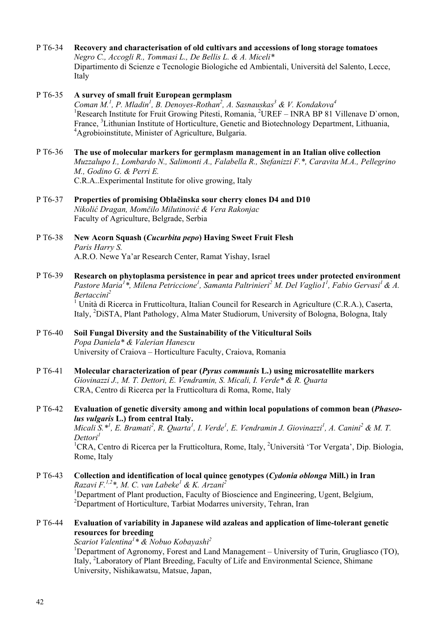#### P T6-34 **Recovery and characterisation of old cultivars and accessions of long storage tomatoes**  *Negro C., Accogli R., Tommasi L., De Bellis L. & A. Miceli\**  Dipartimento di Scienze e Tecnologie Biologiche ed Ambientali, Università del Salento, Lecce, Italy

# P T6-35 **A survey of small fruit European germplasm**

Coman M.<sup>1</sup>, P. Mladin<sup>1</sup>, B. Denoyes-Rothan<sup>2</sup>, A. Sasnauskas<sup>3</sup> & V. Kondakova<sup>4</sup> <sup>1</sup>Research Institute for Fruit Growing Pitesti, Romania, <sup>2</sup>UREF – INRA BP 81 Villenave D'ornon, France, <sup>3</sup>Lithunian Institute of Horticulture, Genetic and Biotechnology Department, Lithuania, 4 Agrobioinstitute, Minister of Agriculture, Bulgaria.

- P T6-36 **The use of molecular markers for germplasm management in an Italian olive collection**  *Muzzalupo I., Lombardo N., Salimonti A., Falabella R., Stefanizzi F.\*, Caravita M.A., Pellegrino M., Godino G. & Perri E.*  C.R.A..Experimental Institute for olive growing, Italy
- P T6-37 **Properties of promising Oblačinska sour cherry clones D4 and D10**  *Nikolić Dragan, Momčilo Milutinović & Vera Rakonjac*  Faculty of Agriculture, Belgrade, Serbia
- P T6-38 **New Acorn Squash (***Cucurbita pepo***) Having Sweet Fruit Flesh**  *Paris Harry S.*  A.R.O. Newe Ya'ar Research Center, Ramat Yishay, Israel
- P T6-39 **Research on phytoplasma persistence in pear and apricot trees under protected environment**  *Pastore Maria<sup>1</sup> \*, Milena Petriccione1 , Samanta Paltrinieri<sup>2</sup> M. Del Vaglio11 , Fabio Gervasi1 & A. Bertaccini2*

<sup>1</sup> Unità di Ricerca in Frutticoltura, Italian Council for Research in Agriculture (C.R.A.), Caserta, Italy, <sup>2</sup>DiSTA, Plant Pathology, Alma Mater Studiorum, University of Bologna, Bologna, Italy

- P T6-40 **Soil Fungal Diversity and the Sustainability of the Viticultural Soils**  *Popa Daniela\* & Valerian Hanescu*  University of Craiova – Horticulture Faculty, Craiova, Romania
- P T6-41 **Molecular characterization of pear (***Pyrus communis* **L.) using microsatellite markers**  *Giovinazzi J., M. T. Dettori, E. Vendramin, S. Micali, I. Verde\* & R. Quarta*  CRA, Centro di Ricerca per la Frutticoltura di Roma, Rome, Italy
- P T6-42 **Evaluation of genetic diversity among and within local populations of common bean (***Phaseolus vulgaris* **L.) from central Italy.**  *Micali S.\*<sup>1</sup>, E. Bramati<sup>2</sup>, R. Quarta<sup>1</sup>, I. Verde<sup>1</sup>, E. Vendramin J. Giovinazzi<sup>1</sup>, A. Canini<sup>2</sup> & M. T. Dettori<sup>1</sup>* <sup>1</sup>CRA, Centro di Ricerca per la Frutticoltura, Rome, Italy, <sup>2</sup>Università 'Tor Vergata', Dip. Biologia, Rome, Italy
- P T6-43 **Collection and identification of local quince genotypes (***Cydonia oblonga* **Mill.) in Iran**  *Razavi F.1,2\*, M. C. van Labeke1 & K. Arzani2* <sup>1</sup>Department of Plant production, Faculty of Bioscience and Engineering, Ugent, Belgium, <sup>2</sup>Department of Horticulture, Tarbiat Modarres university, Tehran, Iran
- P T6-44 **Evaluation of variability in Japanese wild azaleas and application of lime-tolerant genetic resources for breeding**

*Scariot Valentina<sup>1</sup> \* & Nobuo Kobayashi2* <sup>1</sup>Department of Agronomy, Forest and Land Management – University of Turin, Grugliasco (TO), Italy, <sup>2</sup>Laboratory of Plant Breeding, Faculty of Life and Environmental Science, Shimane University, Nishikawatsu, Matsue, Japan,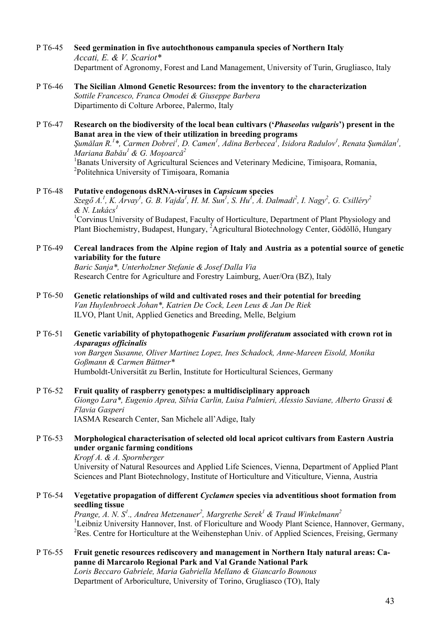- P T6-45 **Seed germination in five autochthonous campanula species of Northern Italy**  *Accati, E. & V. Scariot\**  Department of Agronomy, Forest and Land Management, University of Turin, Grugliasco, Italy
- P T6-46 **The Sicilian Almond Genetic Resources: from the inventory to the characterization**  *Sottile Francesco, Franca Omodei & Giuseppe Barbera*  Dipartimento di Colture Arboree, Palermo, Italy
- P T6-47 **Research on the biodiversity of the local bean cultivars ('***Phaseolus vulgaris***') present in the Banat area in the view of their utilization in breeding programs**  *Şumǎlan R.<sup>1</sup> \*, Carmen Dobrei1 , D. Camen<sup>1</sup> , Adina Berbecea1 , Isidora Radulov1 , Renata Şumǎlan<sup>1</sup> , Mariana Babǎu 1 & G. Moşoarcǎ<sup>2</sup>* <sup>1</sup>Banats University of Agricultural Sciences and Veterinary Medicine, Timișoara, Romania, 2 Politehnica University of Timişoara, Romania
- P T6-48 **Putative endogenous dsRNA-viruses in** *Capsicum* **species**  *Szegő A.<sup>1</sup> , K. Árvay1 , G. B. Vajda1 , H. M. Sun1 , S. Hu<sup>1</sup> , Á. Dalmadi2 , I. Nagy2 , G. Csilléry2 & N. Lukács1* <sup>1</sup>Corvinus University of Budapest, Faculty of Horticulture, Department of Plant Physiology and Plant Biochemistry, Budapest, Hungary, <sup>2</sup>Agricultural Biotechnology Center, Gödöllő, Hungary
- P T6-49 **Cereal landraces from the Alpine region of Italy and Austria as a potential source of genetic variability for the future**

*Baric Sanja\*, Unterholzner Stefanie & Josef Dalla Via*  Research Centre for Agriculture and Forestry Laimburg, Auer/Ora (BZ), Italy

- P T6-50 **Genetic relationships of wild and cultivated roses and their potential for breeding**  *Van Huylenbroeck Johan\*, Katrien De Cock, Leen Leus & Jan De Riek*  ILVO, Plant Unit, Applied Genetics and Breeding, Melle, Belgium
- P T6-51 **Genetic variability of phytopathogenic** *Fusarium proliferatum* **associated with crown rot in**  *Asparagus officinalis*

*von Bargen Susanne, Oliver Martinez Lopez, Ines Schadock, Anne-Mareen Eisold, Monika Goßmann & Carmen Büttner\**  Humboldt-Universität zu Berlin, Institute for Horticultural Sciences, Germany

P T6-52 **Fruit quality of raspberry genotypes: a multidisciplinary approach**  *Giongo Lara\*, Eugenio Aprea, Silvia Carlin, Luisa Palmieri, Alessio Saviane, Alberto Grassi & Flavia Gasperi*  IASMA Research Center, San Michele all'Adige, Italy

# P T6-53 **Morphological characterisation of selected old local apricot cultivars from Eastern Austria under organic farming conditions**

*Kropf A. & A. Spornberger*  University of Natural Resources and Applied Life Sciences, Vienna, Department of Applied Plant Sciences and Plant Biotechnology, Institute of Horticulture and Viticulture, Vienna, Austria

#### P T6-54 **Vegetative propagation of different** *Cyclamen* **species via adventitious shoot formation from seedling tissue**

Prange, A. N. S<sup>1</sup>., Andrea Metzenauer<sup>2</sup>, Margrethe Serek<sup>1</sup> & Traud Winkelmann<sup>2</sup> <sup>1</sup>Leibniz University Hannover, Inst. of Floriculture and Woody Plant Science, Hannover, Germany, <sup>2</sup>Res. Centre for Horticulture at the Weihenstephan Univ. of Applied Sciences, Freising, Germany

P T6-55 **Fruit genetic resources rediscovery and management in Northern Italy natural areas: Capanne di Marcarolo Regional Park and Val Grande National Park**  *Loris Beccaro Gabriele, Maria Gabriella Mellano & Giancarlo Bounous* 

Department of Arboriculture, University of Torino, Grugliasco (TO), Italy